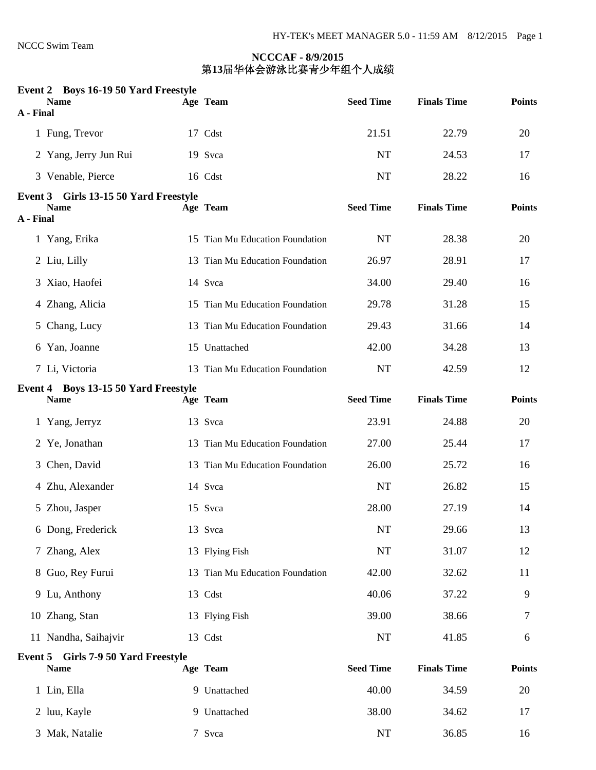#### **Event 2 Boys 16-19 50 Yard Freestyle**

| A - Final | <b>Name</b>                                          | Age Team                        | <b>Seed Time</b> | <b>Finals Time</b> | <b>Points</b> |
|-----------|------------------------------------------------------|---------------------------------|------------------|--------------------|---------------|
|           | 1 Fung, Trevor                                       | 17 Cdst                         | 21.51            | 22.79              | 20            |
|           | 2 Yang, Jerry Jun Rui                                | 19 Svca                         | <b>NT</b>        | 24.53              | 17            |
|           | 3 Venable, Pierce                                    | 16 Cdst                         | <b>NT</b>        | 28.22              | 16            |
| A - Final | Event 3 Girls 13-15 50 Yard Freestyle<br><b>Name</b> | Age Team                        | <b>Seed Time</b> | <b>Finals Time</b> | <b>Points</b> |
|           | 1 Yang, Erika                                        | 15 Tian Mu Education Foundation | <b>NT</b>        | 28.38              | 20            |
|           | 2 Liu, Lilly                                         | 13 Tian Mu Education Foundation | 26.97            | 28.91              | 17            |
|           | 3 Xiao, Haofei                                       | 14 Svca                         | 34.00            | 29.40              | 16            |
|           | 4 Zhang, Alicia                                      | 15 Tian Mu Education Foundation | 29.78            | 31.28              | 15            |
|           | 5 Chang, Lucy                                        | 13 Tian Mu Education Foundation | 29.43            | 31.66              | 14            |
|           | 6 Yan, Joanne                                        | 15 Unattached                   | 42.00            | 34.28              | 13            |
|           | 7 Li, Victoria                                       | 13 Tian Mu Education Foundation | <b>NT</b>        | 42.59              | 12            |
|           | Event 4 Boys 13-15 50 Yard Freestyle<br><b>Name</b>  | Age Team                        | <b>Seed Time</b> | <b>Finals Time</b> | <b>Points</b> |
|           | 1 Yang, Jerryz                                       | 13 Svca                         | 23.91            | 24.88              | 20            |
|           | 2 Ye, Jonathan                                       | 13 Tian Mu Education Foundation | 27.00            | 25.44              | 17            |
|           | 3 Chen, David                                        | 13 Tian Mu Education Foundation | 26.00            | 25.72              | 16            |
|           | 4 Zhu, Alexander                                     | 14 Svca                         | NT               | 26.82              | 15            |
|           | 5 Zhou, Jasper                                       | 15 Svca                         | 28.00            | 27.19              | 14            |
|           | 6 Dong, Frederick                                    | 13 Svca                         | NT               | 29.66              | 13            |
|           | 7 Zhang, Alex                                        | 13 Flying Fish                  | NT               | 31.07              | 12            |
|           | 8 Guo, Rey Furui                                     | 13 Tian Mu Education Foundation | 42.00            | 32.62              | 11            |
|           | 9 Lu, Anthony                                        | 13 Cdst                         | 40.06            | 37.22              | 9             |
|           | 10 Zhang, Stan                                       | 13 Flying Fish                  | 39.00            | 38.66              | 7             |
|           | 11 Nandha, Saihajvir                                 | 13 Cdst                         | NT               | 41.85              | 6             |
|           | Event 5 Girls 7-9 50 Yard Freestyle<br><b>Name</b>   | Age Team                        | <b>Seed Time</b> | <b>Finals Time</b> | <b>Points</b> |
|           | 1 Lin, Ella                                          | 9 Unattached                    | 40.00            | 34.59              | 20            |
|           | 2 luu, Kayle                                         | 9 Unattached                    | 38.00            | 34.62              | 17            |
|           | 3 Mak, Natalie                                       | 7 Svca                          | NT               | 36.85              | 16            |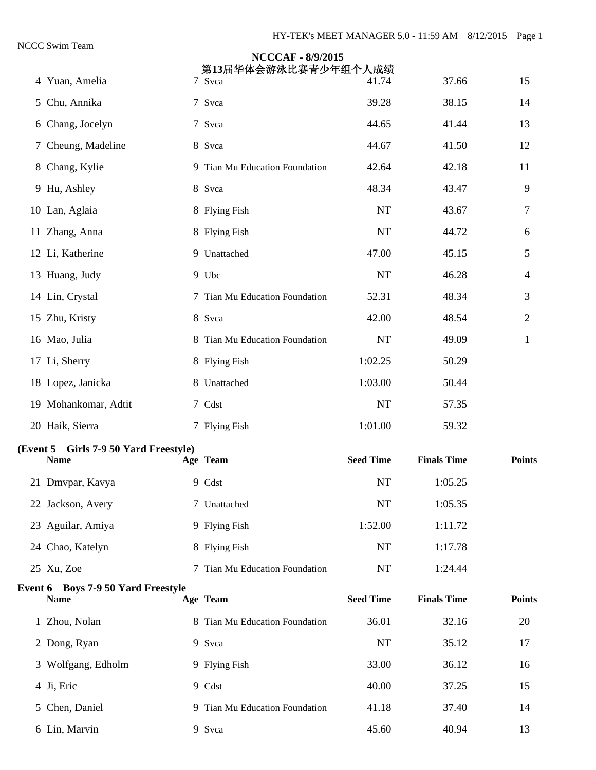|                                                          | <b>NCCCAF - 8/9/2015</b><br>第13届华体会游泳比赛青少年组个人成绩 |                  |                    |                |
|----------------------------------------------------------|-------------------------------------------------|------------------|--------------------|----------------|
| 4 Yuan, Amelia                                           | 7 Svca                                          | 41.74            | 37.66              | 15             |
| 5 Chu, Annika                                            | 7 Svca                                          | 39.28            | 38.15              | 14             |
| 6 Chang, Jocelyn                                         | 7 Svca                                          | 44.65            | 41.44              | 13             |
| 7 Cheung, Madeline                                       | 8 Svca                                          | 44.67            | 41.50              | 12             |
| 8 Chang, Kylie                                           | 9 Tian Mu Education Foundation                  | 42.64            | 42.18              | 11             |
| 9 Hu, Ashley                                             | 8 Svca                                          | 48.34            | 43.47              | 9              |
| 10 Lan, Aglaia                                           | 8 Flying Fish                                   | <b>NT</b>        | 43.67              | 7              |
| 11 Zhang, Anna                                           | 8 Flying Fish                                   | <b>NT</b>        | 44.72              | 6              |
| 12 Li, Katherine                                         | 9 Unattached                                    | 47.00            | 45.15              | 5              |
| 13 Huang, Judy                                           | 9 Ubc                                           | <b>NT</b>        | 46.28              | 4              |
| 14 Lin, Crystal                                          | 7 Tian Mu Education Foundation                  | 52.31            | 48.34              | 3              |
| 15 Zhu, Kristy                                           | 8 Svca                                          | 42.00            | 48.54              | $\overline{2}$ |
| 16 Mao, Julia                                            | 8 Tian Mu Education Foundation                  | NT               | 49.09              | 1              |
| 17 Li, Sherry                                            | 8 Flying Fish                                   | 1:02.25          | 50.29              |                |
| 18 Lopez, Janicka                                        | 8 Unattached                                    | 1:03.00          | 50.44              |                |
| 19 Mohankomar, Adtit                                     | 7 Cdst                                          | <b>NT</b>        | 57.35              |                |
| 20 Haik, Sierra                                          | 7 Flying Fish                                   | 1:01.00          | 59.32              |                |
| (Event 5 Girls 7-9 50 Yard Freestyle)<br><b>Name</b>     | Age Team                                        | <b>Seed Time</b> | <b>Finals Time</b> | <b>Points</b>  |
| 21 Dmvpar, Kavya                                         | 9 Cdst                                          | NT               | 1:05.25            |                |
| 22 Jackson, Avery                                        | 7 Unattached                                    | NT               | 1:05.35            |                |
| 23 Aguilar, Amiya                                        | 9 Flying Fish                                   | 1:52.00          | 1:11.72            |                |
| 24 Chao, Katelyn                                         | 8 Flying Fish                                   | <b>NT</b>        | 1:17.78            |                |
| 25 Xu, Zoe                                               | 7 Tian Mu Education Foundation                  | NT               | 1:24.44            |                |
| <b>Event 6 Boys 7-9 50 Yard Freestyle</b><br><b>Name</b> | Age Team                                        | <b>Seed Time</b> | <b>Finals Time</b> | <b>Points</b>  |
| 1 Zhou, Nolan                                            | 8 Tian Mu Education Foundation                  | 36.01            | 32.16              | 20             |
| 2 Dong, Ryan                                             | 9 Svca                                          | <b>NT</b>        | 35.12              | 17             |
| 3 Wolfgang, Edholm                                       | 9 Flying Fish                                   | 33.00            | 36.12              | 16             |
| 4 Ji, Eric                                               | 9 Cdst                                          | 40.00            | 37.25              | 15             |
| 5 Chen, Daniel                                           | 9 Tian Mu Education Foundation                  | 41.18            | 37.40              | 14             |
| 6 Lin, Marvin                                            | 9 Svca                                          | 45.60            | 40.94              | 13             |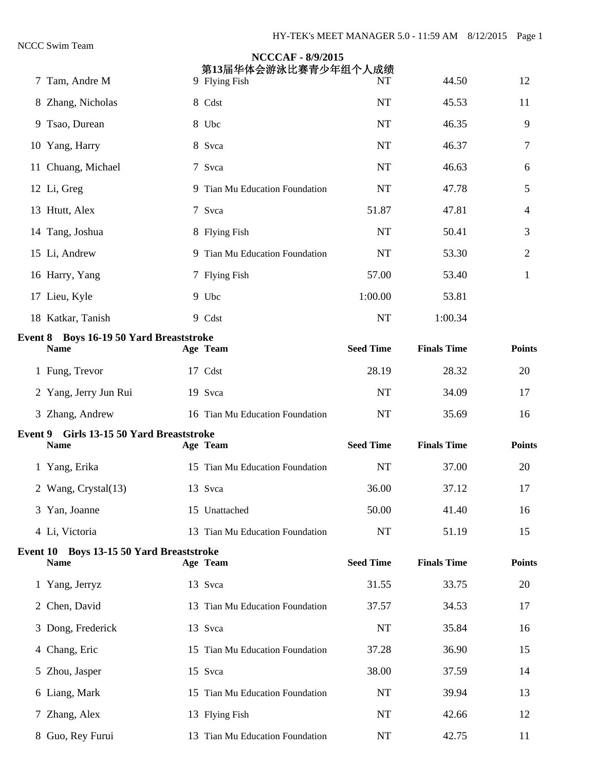|                  |                                                                                                                                                                                                                                                                                                                                                                                                                                                                                                  | <b>NCCCAF - 8/9/2015</b> |                                                                                                                                                                                                                                                                                                                                                                                                                                                                                                                                                                                                                                                                                              |                                                                                              |                         |
|------------------|--------------------------------------------------------------------------------------------------------------------------------------------------------------------------------------------------------------------------------------------------------------------------------------------------------------------------------------------------------------------------------------------------------------------------------------------------------------------------------------------------|--------------------------|----------------------------------------------------------------------------------------------------------------------------------------------------------------------------------------------------------------------------------------------------------------------------------------------------------------------------------------------------------------------------------------------------------------------------------------------------------------------------------------------------------------------------------------------------------------------------------------------------------------------------------------------------------------------------------------------|----------------------------------------------------------------------------------------------|-------------------------|
|                  |                                                                                                                                                                                                                                                                                                                                                                                                                                                                                                  |                          |                                                                                                                                                                                                                                                                                                                                                                                                                                                                                                                                                                                                                                                                                              |                                                                                              | 12                      |
|                  |                                                                                                                                                                                                                                                                                                                                                                                                                                                                                                  |                          |                                                                                                                                                                                                                                                                                                                                                                                                                                                                                                                                                                                                                                                                                              |                                                                                              | 11                      |
|                  |                                                                                                                                                                                                                                                                                                                                                                                                                                                                                                  |                          |                                                                                                                                                                                                                                                                                                                                                                                                                                                                                                                                                                                                                                                                                              |                                                                                              | 9                       |
|                  |                                                                                                                                                                                                                                                                                                                                                                                                                                                                                                  |                          | <b>NT</b>                                                                                                                                                                                                                                                                                                                                                                                                                                                                                                                                                                                                                                                                                    | 46.37                                                                                        | 7                       |
|                  |                                                                                                                                                                                                                                                                                                                                                                                                                                                                                                  |                          | <b>NT</b>                                                                                                                                                                                                                                                                                                                                                                                                                                                                                                                                                                                                                                                                                    | 46.63                                                                                        | 6                       |
|                  |                                                                                                                                                                                                                                                                                                                                                                                                                                                                                                  |                          | <b>NT</b>                                                                                                                                                                                                                                                                                                                                                                                                                                                                                                                                                                                                                                                                                    | 47.78                                                                                        | 5                       |
|                  |                                                                                                                                                                                                                                                                                                                                                                                                                                                                                                  |                          | 51.87                                                                                                                                                                                                                                                                                                                                                                                                                                                                                                                                                                                                                                                                                        | 47.81                                                                                        | 4                       |
|                  |                                                                                                                                                                                                                                                                                                                                                                                                                                                                                                  |                          | <b>NT</b>                                                                                                                                                                                                                                                                                                                                                                                                                                                                                                                                                                                                                                                                                    | 50.41                                                                                        | 3                       |
|                  |                                                                                                                                                                                                                                                                                                                                                                                                                                                                                                  |                          | <b>NT</b>                                                                                                                                                                                                                                                                                                                                                                                                                                                                                                                                                                                                                                                                                    | 53.30                                                                                        | 2                       |
|                  |                                                                                                                                                                                                                                                                                                                                                                                                                                                                                                  |                          | 57.00                                                                                                                                                                                                                                                                                                                                                                                                                                                                                                                                                                                                                                                                                        | 53.40                                                                                        | $\mathbf{1}$            |
|                  |                                                                                                                                                                                                                                                                                                                                                                                                                                                                                                  |                          | 1:00.00                                                                                                                                                                                                                                                                                                                                                                                                                                                                                                                                                                                                                                                                                      | 53.81                                                                                        |                         |
|                  |                                                                                                                                                                                                                                                                                                                                                                                                                                                                                                  |                          | <b>NT</b>                                                                                                                                                                                                                                                                                                                                                                                                                                                                                                                                                                                                                                                                                    | 1:00.34                                                                                      |                         |
| <b>Name</b>      |                                                                                                                                                                                                                                                                                                                                                                                                                                                                                                  |                          | <b>Seed Time</b>                                                                                                                                                                                                                                                                                                                                                                                                                                                                                                                                                                                                                                                                             | <b>Finals Time</b>                                                                           | <b>Points</b>           |
|                  |                                                                                                                                                                                                                                                                                                                                                                                                                                                                                                  |                          | 28.19                                                                                                                                                                                                                                                                                                                                                                                                                                                                                                                                                                                                                                                                                        | 28.32                                                                                        | 20                      |
|                  |                                                                                                                                                                                                                                                                                                                                                                                                                                                                                                  |                          | <b>NT</b>                                                                                                                                                                                                                                                                                                                                                                                                                                                                                                                                                                                                                                                                                    | 34.09                                                                                        | 17                      |
|                  |                                                                                                                                                                                                                                                                                                                                                                                                                                                                                                  |                          | <b>NT</b>                                                                                                                                                                                                                                                                                                                                                                                                                                                                                                                                                                                                                                                                                    | 35.69                                                                                        | 16                      |
| <b>Name</b>      |                                                                                                                                                                                                                                                                                                                                                                                                                                                                                                  |                          | <b>Seed Time</b>                                                                                                                                                                                                                                                                                                                                                                                                                                                                                                                                                                                                                                                                             | <b>Finals Time</b>                                                                           | <b>Points</b>           |
|                  |                                                                                                                                                                                                                                                                                                                                                                                                                                                                                                  |                          | <b>NT</b>                                                                                                                                                                                                                                                                                                                                                                                                                                                                                                                                                                                                                                                                                    | 37.00                                                                                        | 20                      |
|                  |                                                                                                                                                                                                                                                                                                                                                                                                                                                                                                  |                          | 36.00                                                                                                                                                                                                                                                                                                                                                                                                                                                                                                                                                                                                                                                                                        | 37.12                                                                                        | 17                      |
|                  |                                                                                                                                                                                                                                                                                                                                                                                                                                                                                                  |                          | 50.00                                                                                                                                                                                                                                                                                                                                                                                                                                                                                                                                                                                                                                                                                        | 41.40                                                                                        | 16                      |
|                  |                                                                                                                                                                                                                                                                                                                                                                                                                                                                                                  |                          | NT                                                                                                                                                                                                                                                                                                                                                                                                                                                                                                                                                                                                                                                                                           | 51.19                                                                                        | 15                      |
| <b>Name</b>      |                                                                                                                                                                                                                                                                                                                                                                                                                                                                                                  |                          | <b>Seed Time</b>                                                                                                                                                                                                                                                                                                                                                                                                                                                                                                                                                                                                                                                                             | <b>Finals Time</b>                                                                           | <b>Points</b>           |
|                  |                                                                                                                                                                                                                                                                                                                                                                                                                                                                                                  |                          | 31.55                                                                                                                                                                                                                                                                                                                                                                                                                                                                                                                                                                                                                                                                                        | 33.75                                                                                        | 20                      |
|                  |                                                                                                                                                                                                                                                                                                                                                                                                                                                                                                  |                          | 37.57                                                                                                                                                                                                                                                                                                                                                                                                                                                                                                                                                                                                                                                                                        | 34.53                                                                                        | 17                      |
|                  |                                                                                                                                                                                                                                                                                                                                                                                                                                                                                                  |                          | NT                                                                                                                                                                                                                                                                                                                                                                                                                                                                                                                                                                                                                                                                                           | 35.84                                                                                        | 16                      |
|                  |                                                                                                                                                                                                                                                                                                                                                                                                                                                                                                  |                          | 37.28                                                                                                                                                                                                                                                                                                                                                                                                                                                                                                                                                                                                                                                                                        | 36.90                                                                                        | 15                      |
|                  |                                                                                                                                                                                                                                                                                                                                                                                                                                                                                                  |                          | 38.00                                                                                                                                                                                                                                                                                                                                                                                                                                                                                                                                                                                                                                                                                        | 37.59                                                                                        | 14                      |
|                  |                                                                                                                                                                                                                                                                                                                                                                                                                                                                                                  |                          | NT                                                                                                                                                                                                                                                                                                                                                                                                                                                                                                                                                                                                                                                                                           | 39.94                                                                                        | 13                      |
|                  |                                                                                                                                                                                                                                                                                                                                                                                                                                                                                                  |                          | NT                                                                                                                                                                                                                                                                                                                                                                                                                                                                                                                                                                                                                                                                                           | 42.66                                                                                        | 12                      |
| 8 Guo, Rey Furui |                                                                                                                                                                                                                                                                                                                                                                                                                                                                                                  |                          |                                                                                                                                                                                                                                                                                                                                                                                                                                                                                                                                                                                                                                                                                              | 42.75                                                                                        | 11                      |
|                  | 7 Tam, Andre M<br>8 Zhang, Nicholas<br>9 Tsao, Durean<br>10 Yang, Harry<br>11 Chuang, Michael<br>12 Li, Greg<br>13 Htutt, Alex<br>14 Tang, Joshua<br>15 Li, Andrew<br>16 Harry, Yang<br>17 Lieu, Kyle<br>18 Katkar, Tanish<br>1 Fung, Trevor<br>2 Yang, Jerry Jun Rui<br>3 Zhang, Andrew<br>1 Yang, Erika<br>2 Wang, Crystal(13)<br>3 Yan, Joanne<br>4 Li, Victoria<br>1 Yang, Jerryz<br>2 Chen, David<br>3 Dong, Frederick<br>4 Chang, Eric<br>5 Zhou, Jasper<br>6 Liang, Mark<br>7 Zhang, Alex |                          | 9 Flying Fish<br>8 Cdst<br>8 Ubc<br>8 Svca<br>7 Svca<br>9 Tian Mu Education Foundation<br>7 Svca<br>8 Flying Fish<br>9 Tian Mu Education Foundation<br>7 Flying Fish<br>9 Ubc<br>9 Cdst<br><b>Event 8 Boys 16-19 50 Yard Breaststroke</b><br>Age Team<br>17 Cdst<br>19 Svca<br>16 Tian Mu Education Foundation<br>Event 9 Girls 13-15 50 Yard Breaststroke<br>Age Team<br>15 Tian Mu Education Foundation<br>13 Svca<br>15 Unattached<br>13 Tian Mu Education Foundation<br>Event 10 Boys 13-15 50 Yard Breaststroke<br>Age Team<br>13 Svca<br>13 Tian Mu Education Foundation<br>13 Svca<br>15 Tian Mu Education Foundation<br>15 Svca<br>15 Tian Mu Education Foundation<br>13 Flying Fish | 第13届华体会游泳比赛青少年组个人成绩<br>NT<br><b>NT</b><br><b>NT</b><br>13 Tian Mu Education Foundation<br>NT | 44.50<br>45.53<br>46.35 |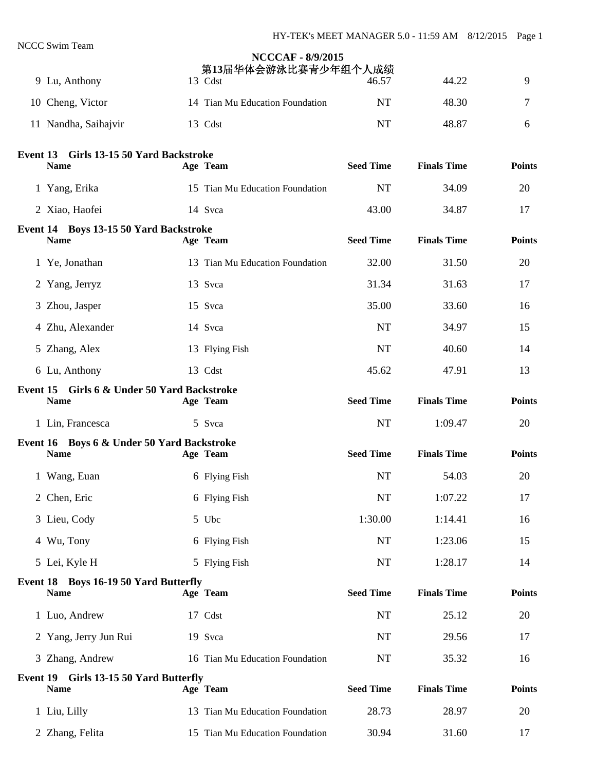|                                                            | <b>NCCCAF - 8/9/2015</b><br>第13届华体会游泳比赛青少年组个人成绩 |                  |                    |               |
|------------------------------------------------------------|-------------------------------------------------|------------------|--------------------|---------------|
| 9 Lu, Anthony                                              | 13 Cdst                                         | 46.57            | 44.22              | 9             |
| 10 Cheng, Victor                                           | 14 Tian Mu Education Foundation                 | <b>NT</b>        | 48.30              | 7             |
| 11 Nandha, Saihajvir                                       | 13 Cdst                                         | <b>NT</b>        | 48.87              | 6             |
| Event 13 Girls 13-15 50 Yard Backstroke                    |                                                 |                  |                    |               |
| <b>Name</b>                                                | Age Team                                        | <b>Seed Time</b> | <b>Finals Time</b> | <b>Points</b> |
| 1 Yang, Erika                                              | 15 Tian Mu Education Foundation                 | <b>NT</b>        | 34.09              | 20            |
| 2 Xiao, Haofei                                             | 14 Svca                                         | 43.00            | 34.87              | 17            |
| Event 14 Boys 13-15 50 Yard Backstroke<br><b>Name</b>      | Age Team                                        | <b>Seed Time</b> | <b>Finals Time</b> | <b>Points</b> |
| 1 Ye, Jonathan                                             | 13 Tian Mu Education Foundation                 | 32.00            | 31.50              | 20            |
| 2 Yang, Jerryz                                             | 13 Svca                                         | 31.34            | 31.63              | 17            |
| 3 Zhou, Jasper                                             | 15 Svca                                         | 35.00            | 33.60              | 16            |
| 4 Zhu, Alexander                                           | 14 Svca                                         | <b>NT</b>        | 34.97              | 15            |
| 5 Zhang, Alex                                              | 13 Flying Fish                                  | <b>NT</b>        | 40.60              | 14            |
| 6 Lu, Anthony                                              | 13 Cdst                                         | 45.62            | 47.91              | 13            |
| Event 15 Girls 6 & Under 50 Yard Backstroke<br><b>Name</b> | Age Team                                        | <b>Seed Time</b> | <b>Finals Time</b> | <b>Points</b> |
| 1 Lin, Francesca                                           | 5 Svca                                          | <b>NT</b>        | 1:09.47            | 20            |
| Event 16 Boys 6 & Under 50 Yard Backstroke                 |                                                 |                  |                    |               |
| <b>Name</b>                                                | Age Team                                        | <b>Seed Time</b> | <b>Finals Time</b> | <b>Points</b> |
| 1 Wang, Euan                                               | 6 Flying Fish                                   | <b>NT</b>        | 54.03              | 20            |
| 2 Chen, Eric                                               | 6 Flying Fish                                   | <b>NT</b>        | 1:07.22            | 17            |
| 3 Lieu, Cody                                               | 5 Ubc                                           | 1:30.00          | 1:14.41            | 16            |
| 4 Wu, Tony                                                 | 6 Flying Fish                                   | <b>NT</b>        | 1:23.06            | 15            |
| 5 Lei, Kyle H                                              | 5 Flying Fish                                   | <b>NT</b>        | 1:28.17            | 14            |
| Event 18 Boys 16-19 50 Yard Butterfly<br><b>Name</b>       | Age Team                                        | <b>Seed Time</b> | <b>Finals Time</b> | <b>Points</b> |
| 1 Luo, Andrew                                              | 17 Cdst                                         | <b>NT</b>        | 25.12              | 20            |
| 2 Yang, Jerry Jun Rui                                      | 19 Svca                                         | NT               | 29.56              | 17            |
| 3 Zhang, Andrew                                            | 16 Tian Mu Education Foundation                 | NT               | 35.32              | 16            |
| Event 19 Girls 13-15 50 Yard Butterfly<br><b>Name</b>      | Age Team                                        | <b>Seed Time</b> | <b>Finals Time</b> | <b>Points</b> |
| 1 Liu, Lilly                                               | 13 Tian Mu Education Foundation                 | 28.73            | 28.97              | 20            |
| 2 Zhang, Felita                                            | 15 Tian Mu Education Foundation                 | 30.94            | 31.60              | 17            |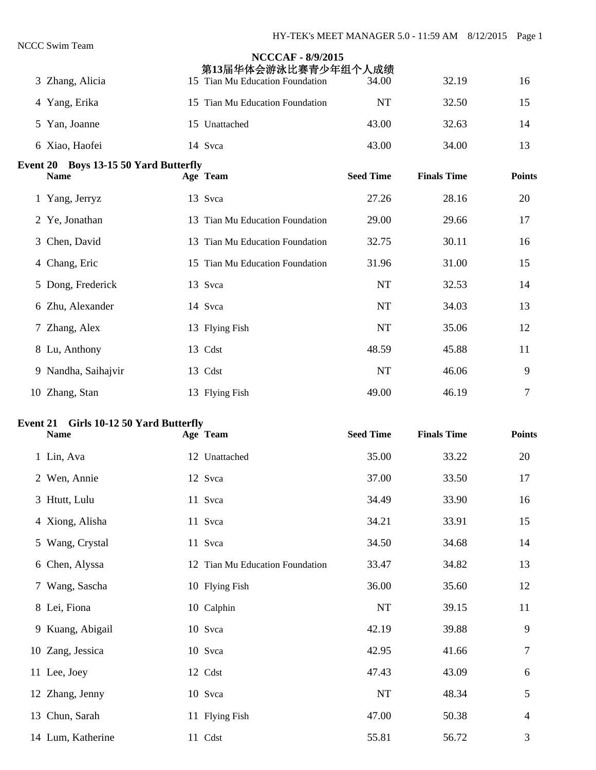|                 | 3 Zhang, Alicia                                      | <b>NCCCAF - 8/9/2015</b><br>第13届华体会游泳比赛青少年组个人成绩<br>15 Tian Mu Education Foundation | 34.00            | 32.19              | 16            |
|-----------------|------------------------------------------------------|------------------------------------------------------------------------------------|------------------|--------------------|---------------|
|                 |                                                      |                                                                                    |                  |                    |               |
|                 | 4 Yang, Erika                                        | 15 Tian Mu Education Foundation                                                    | <b>NT</b>        | 32.50              | 15            |
|                 | 5 Yan, Joanne                                        | 15 Unattached                                                                      | 43.00            | 32.63              | 14            |
|                 | 6 Xiao, Haofei                                       | 14 Svca                                                                            | 43.00            | 34.00              | 13            |
|                 | Event 20 Boys 13-15 50 Yard Butterfly<br><b>Name</b> | Age Team                                                                           | <b>Seed Time</b> | <b>Finals Time</b> | <b>Points</b> |
|                 | 1 Yang, Jerryz                                       | 13 Svca                                                                            | 27.26            | 28.16              | 20            |
|                 | 2 Ye, Jonathan                                       | 13 Tian Mu Education Foundation                                                    | 29.00            | 29.66              | 17            |
|                 | 3 Chen, David                                        | 13 Tian Mu Education Foundation                                                    | 32.75            | 30.11              | 16            |
|                 | 4 Chang, Eric                                        | 15 Tian Mu Education Foundation                                                    | 31.96            | 31.00              | 15            |
|                 | 5 Dong, Frederick                                    | 13 Svca                                                                            | <b>NT</b>        | 32.53              | 14            |
|                 | 6 Zhu, Alexander                                     | 14 Svca                                                                            | <b>NT</b>        | 34.03              | 13            |
|                 | 7 Zhang, Alex                                        | 13 Flying Fish                                                                     | <b>NT</b>        | 35.06              | 12            |
|                 | 8 Lu, Anthony                                        | 13 Cdst                                                                            | 48.59            | 45.88              | 11            |
|                 | 9 Nandha, Saihajvir                                  | 13 Cdst                                                                            | <b>NT</b>        | 46.06              | 9             |
|                 | 10 Zhang, Stan                                       | 13 Flying Fish                                                                     | 49.00            | 46.19              | 7             |
| <b>Event 21</b> | Girls 10-12 50 Yard Butterfly                        |                                                                                    |                  |                    |               |
|                 |                                                      | Age Team                                                                           | <b>Seed Time</b> | <b>Finals Time</b> |               |
|                 | <b>Name</b>                                          |                                                                                    |                  |                    | <b>Points</b> |
|                 | 1 Lin, Ava                                           | 12 Unattached                                                                      | 35.00            | 33.22              | 20            |
|                 | 2 Wen, Annie                                         | 12 Svca                                                                            | 37.00            | 33.50              | 17            |
|                 | 3 Htutt, Lulu                                        | 11 Svca                                                                            | 34.49            | 33.90              | 16            |
|                 | 4 Xiong, Alisha                                      | 11 Svca                                                                            | 34.21            | 33.91              | 15            |
|                 | 5 Wang, Crystal                                      | 11 Svca                                                                            | 34.50            | 34.68              | 14            |
|                 | 6 Chen, Alyssa                                       | 12 Tian Mu Education Foundation                                                    | 33.47            | 34.82              | 13            |
|                 | 7 Wang, Sascha                                       | 10 Flying Fish                                                                     | 36.00            | 35.60              | 12            |
|                 | 8 Lei, Fiona                                         | 10 Calphin                                                                         | $\rm{NT}$        | 39.15              | 11            |
|                 | 9 Kuang, Abigail                                     | 10 Svca                                                                            | 42.19            | 39.88              | 9             |
|                 | 10 Zang, Jessica                                     | 10 Svca                                                                            | 42.95            | 41.66              | 7             |
|                 | 11 Lee, Joey                                         | 12 Cdst                                                                            | 47.43            | 43.09              | 6             |
|                 | 12 Zhang, Jenny                                      | 10 Svca                                                                            | $\rm{NT}$        | 48.34              | 5             |
|                 | 13 Chun, Sarah                                       | 11 Flying Fish                                                                     | 47.00            | 50.38              | 4             |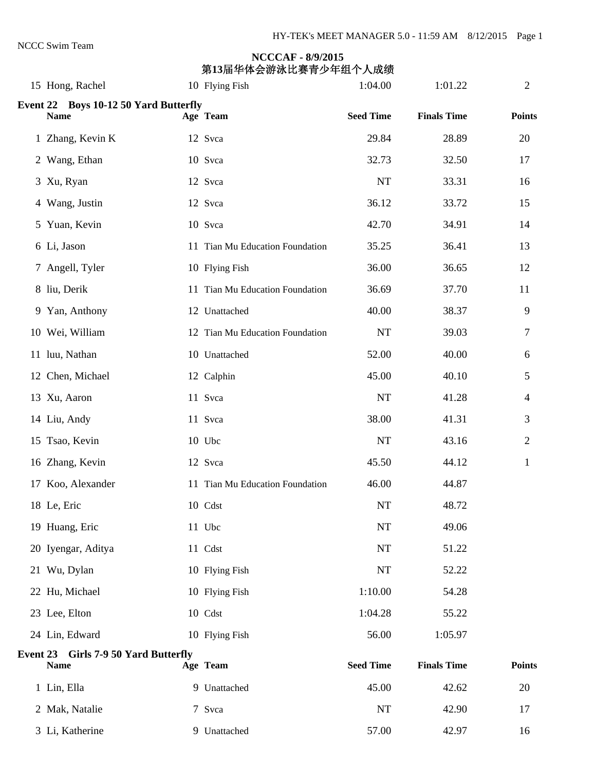# **NCCCAF - 8/9/2015 第13届华体会游泳比赛青少年组个人成绩**<br>2. Hong, Rachel 10 Flying Fish 1:04.00 1:04.00 1:01.22 2. 2

| 15 Hong, Rachel                                      | 10 Flying Fish                  | 1:04.00          | 1:01.22            | $\mathbf{2}$   |
|------------------------------------------------------|---------------------------------|------------------|--------------------|----------------|
| Event 22 Boys 10-12 50 Yard Butterfly<br><b>Name</b> | Age Team                        | <b>Seed Time</b> | <b>Finals Time</b> | <b>Points</b>  |
| 1 Zhang, Kevin K                                     | 12 Svca                         | 29.84            | 28.89              | 20             |
| 2 Wang, Ethan                                        | 10 Svca                         | 32.73            | 32.50              | 17             |
| 3 Xu, Ryan                                           | 12 Svca                         | <b>NT</b>        | 33.31              | 16             |
| 4 Wang, Justin                                       | 12 Svca                         | 36.12            | 33.72              | 15             |
| 5 Yuan, Kevin                                        | 10 Svca                         | 42.70            | 34.91              | 14             |
| 6 Li, Jason                                          | 11 Tian Mu Education Foundation | 35.25            | 36.41              | 13             |
| 7 Angell, Tyler                                      | 10 Flying Fish                  | 36.00            | 36.65              | 12             |
| 8 liu, Derik                                         | 11 Tian Mu Education Foundation | 36.69            | 37.70              | 11             |
| 9 Yan, Anthony                                       | 12 Unattached                   | 40.00            | 38.37              | 9              |
| 10 Wei, William                                      | 12 Tian Mu Education Foundation | NT               | 39.03              | 7              |
| 11 luu, Nathan                                       | 10 Unattached                   | 52.00            | 40.00              | 6              |
| 12 Chen, Michael                                     | 12 Calphin                      | 45.00            | 40.10              | 5              |
| 13 Xu, Aaron                                         | 11 Svca                         | $\rm{NT}$        | 41.28              | $\overline{4}$ |
| 14 Liu, Andy                                         | 11 Svca                         | 38.00            | 41.31              | 3              |
| 15 Tsao, Kevin                                       | 10 Ubc                          | NT               | 43.16              | $\overline{2}$ |
| 16 Zhang, Kevin                                      | 12 Svca                         | 45.50            | 44.12              | $\mathbf 1$    |
| 17 Koo, Alexander                                    | 11 Tian Mu Education Foundation | 46.00            | 44.87              |                |
| 18 Le, Eric                                          | 10 Cdst                         | NT               | 48.72              |                |
| 19 Huang, Eric                                       | 11 Ubc                          | NT               | 49.06              |                |
| 20 Iyengar, Aditya                                   | 11 Cdst                         | $\rm{NT}$        | 51.22              |                |
| 21 Wu, Dylan                                         | 10 Flying Fish                  | NT               | 52.22              |                |
| 22 Hu, Michael                                       | 10 Flying Fish                  | 1:10.00          | 54.28              |                |
| 23 Lee, Elton                                        | 10 Cdst                         | 1:04.28          | 55.22              |                |
| 24 Lin, Edward                                       | 10 Flying Fish                  | 56.00            | 1:05.97            |                |
| Event 23 Girls 7-9 50 Yard Butterfly<br><b>Name</b>  | Age Team                        | <b>Seed Time</b> | <b>Finals Time</b> | <b>Points</b>  |
| 1 Lin, Ella                                          | 9 Unattached                    | 45.00            | 42.62              | 20             |
| 2 Mak, Natalie                                       | 7 Svca                          | NT               | 42.90              | 17             |
| 3 Li, Katherine                                      | 9 Unattached                    | 57.00            | 42.97              | 16             |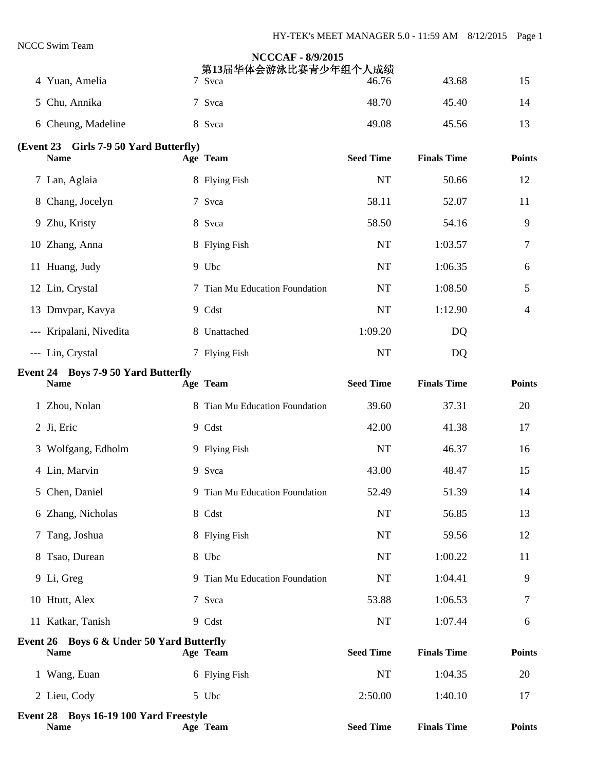|                                                                     | <b>NCCCAF - 8/9/2015</b><br>第13届华体会游泳比赛青少年组个人成绩 |                  |                    |               |
|---------------------------------------------------------------------|-------------------------------------------------|------------------|--------------------|---------------|
| 4 Yuan, Amelia                                                      | 7 Svca                                          | 46.76            | 43.68              | 15            |
| 5 Chu, Annika                                                       | 7 Svca                                          | 48.70            | 45.40              | 14            |
| 6 Cheung, Madeline                                                  | 8 Svca                                          | 49.08            | 45.56              | 13            |
| (Event 23 Girls 7-9 50 Yard Butterfly)<br><b>Name</b>               | Age Team                                        | <b>Seed Time</b> | <b>Finals Time</b> | <b>Points</b> |
| 7 Lan, Aglaia                                                       | 8 Flying Fish                                   | <b>NT</b>        | 50.66              | 12            |
| 8 Chang, Jocelyn                                                    | 7 Svca                                          | 58.11            | 52.07              | 11            |
| 9 Zhu, Kristy                                                       | 8 Svca                                          | 58.50            | 54.16              | 9             |
| 10 Zhang, Anna                                                      | 8 Flying Fish                                   | <b>NT</b>        | 1:03.57            | 7             |
| 11 Huang, Judy                                                      | 9 Ubc                                           | <b>NT</b>        | 1:06.35            | 6             |
| 12 Lin, Crystal                                                     | 7 Tian Mu Education Foundation                  | <b>NT</b>        | 1:08.50            | 5             |
| 13 Dmvpar, Kavya                                                    | 9 Cdst                                          | <b>NT</b>        | 1:12.90            | 4             |
| --- Kripalani, Nivedita                                             | 8 Unattached                                    | 1:09.20          | DQ                 |               |
| --- Lin, Crystal                                                    | 7 Flying Fish                                   | <b>NT</b>        | DQ                 |               |
| <b>Event 24 Boys 7-9 50 Yard Butterfly</b><br><b>Name</b>           | Age Team                                        | <b>Seed Time</b> | <b>Finals Time</b> | <b>Points</b> |
| 1 Zhou, Nolan                                                       | 8 Tian Mu Education Foundation                  | 39.60            | 37.31              | 20            |
| 2 Ji, Eric                                                          | 9 Cdst                                          | 42.00            | 41.38              | 17            |
| 3 Wolfgang, Edholm                                                  | 9 Flying Fish                                   | NT               | 46.37              | 16            |
| 4 Lin, Marvin                                                       | 9 Svca                                          | 43.00            | 48.47              | 15            |
| 5 Chen, Daniel                                                      | 9 Tian Mu Education Foundation                  | 52.49            | 51.39              | 14            |
| 6 Zhang, Nicholas                                                   | 8 Cdst                                          | <b>NT</b>        | 56.85              | 13            |
| 7 Tang, Joshua                                                      | 8 Flying Fish                                   | $\rm{NT}$        | 59.56              | 12            |
| 8 Tsao, Durean                                                      | 8 Ubc                                           | $\rm{NT}$        | 1:00.22            | 11            |
| 9 Li, Greg                                                          | 9 Tian Mu Education Foundation                  | <b>NT</b>        | 1:04.41            | 9             |
| 10 Htutt, Alex                                                      | 7 Svca                                          | 53.88            | 1:06.53            | 7             |
| 11 Katkar, Tanish                                                   | 9 Cdst                                          | $\rm{NT}$        | 1:07.44            | 6             |
| <b>Event 26 Boys 6 &amp; Under 50 Yard Butterfly</b><br><b>Name</b> | Age Team                                        | <b>Seed Time</b> | <b>Finals Time</b> | <b>Points</b> |
| 1 Wang, Euan                                                        | 6 Flying Fish                                   | $\rm{NT}$        | 1:04.35            | 20            |
| 2 Lieu, Cody                                                        | 5 Ubc                                           | 2:50.00          | 1:40.10            | 17            |
| Event 28 Boys 16-19 100 Yard Freestyle<br><b>Name</b>               | Age Team                                        | <b>Seed Time</b> | <b>Finals Time</b> | <b>Points</b> |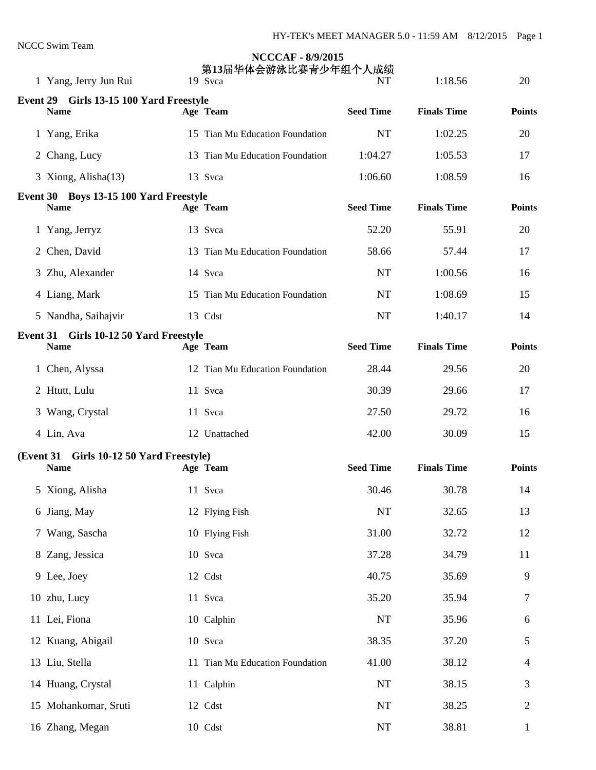| 1 Yang, Jerry Jun Rui                                 | <b>NCCCAF - 8/9/2015</b><br>第13届华体会游泳比赛青少年组个人成绩<br>19 Svca | NT               | 1:18.56            | 20             |
|-------------------------------------------------------|------------------------------------------------------------|------------------|--------------------|----------------|
| Event 29 Girls 13-15 100 Yard Freestyle               |                                                            |                  |                    |                |
| <b>Name</b>                                           | Age Team                                                   | <b>Seed Time</b> | <b>Finals Time</b> | <b>Points</b>  |
| 1 Yang, Erika                                         | 15 Tian Mu Education Foundation                            | <b>NT</b>        | 1:02.25            | 20             |
| 2 Chang, Lucy                                         | 13 Tian Mu Education Foundation                            | 1:04.27          | 1:05.53            | 17             |
| 3 Xiong, Alisha(13)                                   | 13 Svca                                                    | 1:06.60          | 1:08.59            | 16             |
| Event 30 Boys 13-15 100 Yard Freestyle<br><b>Name</b> | Age Team                                                   | <b>Seed Time</b> | <b>Finals Time</b> | <b>Points</b>  |
| 1 Yang, Jerryz                                        | 13 Svca                                                    | 52.20            | 55.91              | 20             |
| 2 Chen, David                                         | 13 Tian Mu Education Foundation                            | 58.66            | 57.44              | 17             |
| 3 Zhu, Alexander                                      | 14 Svca                                                    | <b>NT</b>        | 1:00.56            | 16             |
| 4 Liang, Mark                                         | 15 Tian Mu Education Foundation                            | <b>NT</b>        | 1:08.69            | 15             |
| 5 Nandha, Saihajvir                                   | 13 Cdst                                                    | <b>NT</b>        | 1:40.17            | 14             |
| Event 31 Girls 10-12 50 Yard Freestyle<br><b>Name</b> | Age Team                                                   | <b>Seed Time</b> | <b>Finals Time</b> | <b>Points</b>  |
| 1 Chen, Alyssa                                        | 12 Tian Mu Education Foundation                            | 28.44            | 29.56              | 20             |
| 2 Htutt, Lulu                                         | 11 Svca                                                    | 30.39            | 29.66              | 17             |
| 3 Wang, Crystal                                       | 11 Svca                                                    | 27.50            | 29.72              | 16             |
| 4 Lin, Ava                                            | 12 Unattached                                              | 42.00            | 30.09              | 15             |
| (Event 31 Girls 10-12 50 Yard Freestyle)              |                                                            |                  |                    |                |
| <b>Name</b>                                           | Age Team                                                   | <b>Seed Time</b> | <b>Finals Time</b> | <b>Points</b>  |
| 5 Xiong, Alisha                                       | 11 Svca                                                    | 30.46            | 30.78              | 14             |
| 6 Jiang, May                                          | 12 Flying Fish                                             | $\rm{NT}$        | 32.65              | 13             |
| 7 Wang, Sascha                                        | 10 Flying Fish                                             | 31.00            | 32.72              | 12             |
| 8 Zang, Jessica                                       | 10 Svca                                                    | 37.28            | 34.79              | 11             |
| 9 Lee, Joey                                           | 12 Cdst                                                    | 40.75            | 35.69              | 9              |
| 10 zhu, Lucy                                          | 11 Svca                                                    | 35.20            | 35.94              | 7              |
| 11 Lei, Fiona                                         | 10 Calphin                                                 | NT               | 35.96              | 6              |
| 12 Kuang, Abigail                                     | 10 Svca                                                    | 38.35            | 37.20              | 5              |
| 13 Liu, Stella                                        | 11 Tian Mu Education Foundation                            | 41.00            | 38.12              | $\overline{4}$ |
| 14 Huang, Crystal                                     | 11 Calphin                                                 | NT               | 38.15              | 3              |
| 15 Mohankomar, Sruti                                  | 12 Cdst                                                    | NT               | 38.25              | $\overline{2}$ |
| 16 Zhang, Megan                                       | 10 Cdst                                                    | NT               | 38.81              | 1              |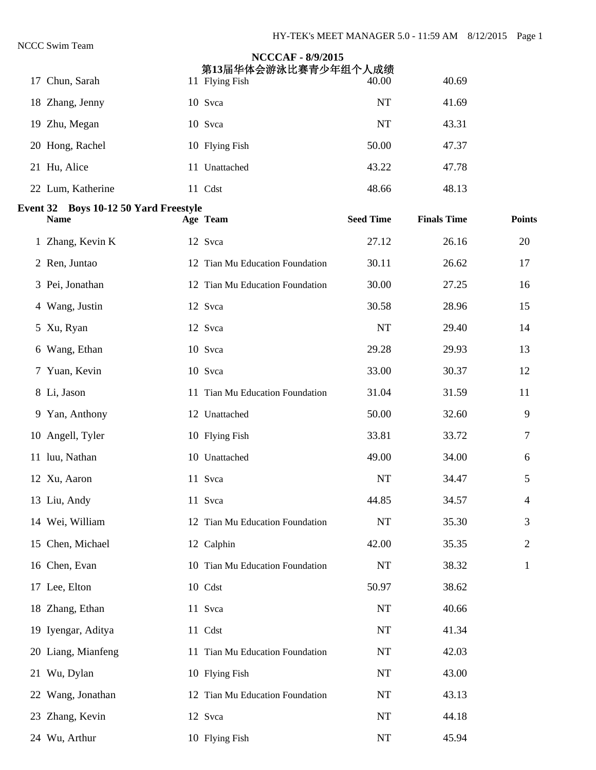| ССС Эмші теаш                                        | <b>NCCCAF - 8/9/2015</b><br>第13届华体会游泳比赛青少年组个人成绩 |                  |                    |                |
|------------------------------------------------------|-------------------------------------------------|------------------|--------------------|----------------|
| 17 Chun, Sarah                                       | 11 Flying Fish                                  | 40.00            | 40.69              |                |
| 18 Zhang, Jenny                                      | 10 Svca                                         | <b>NT</b>        | 41.69              |                |
| 19 Zhu, Megan                                        | 10 Svca                                         | <b>NT</b>        | 43.31              |                |
| 20 Hong, Rachel                                      | 10 Flying Fish                                  | 50.00            | 47.37              |                |
| 21 Hu, Alice                                         | 11 Unattached                                   | 43.22            | 47.78              |                |
| 22 Lum, Katherine                                    | 11 Cdst                                         | 48.66            | 48.13              |                |
| Event 32 Boys 10-12 50 Yard Freestyle<br><b>Name</b> | Age Team                                        | <b>Seed Time</b> | <b>Finals Time</b> | <b>Points</b>  |
| 1 Zhang, Kevin K                                     | 12 Svca                                         | 27.12            | 26.16              | 20             |
| 2 Ren, Juntao                                        | 12 Tian Mu Education Foundation                 | 30.11            | 26.62              | 17             |
| 3 Pei, Jonathan                                      | 12 Tian Mu Education Foundation                 | 30.00            | 27.25              | 16             |
| 4 Wang, Justin                                       | 12 Svca                                         | 30.58            | 28.96              | 15             |
| 5 Xu, Ryan                                           | 12 Svca                                         | <b>NT</b>        | 29.40              | 14             |
| 6 Wang, Ethan                                        | 10 Svca                                         | 29.28            | 29.93              | 13             |
| 7 Yuan, Kevin                                        | 10 Svca                                         | 33.00            | 30.37              | 12             |
| 8 Li, Jason                                          | 11 Tian Mu Education Foundation                 | 31.04            | 31.59              | 11             |
| 9 Yan, Anthony                                       | 12 Unattached                                   | 50.00            | 32.60              | 9              |
| 10 Angell, Tyler                                     | 10 Flying Fish                                  | 33.81            | 33.72              | 7              |
| 11 luu, Nathan                                       | 10 Unattached                                   | 49.00            | 34.00              | 6              |
| 12 Xu, Aaron                                         | 11 Svca                                         | <b>NT</b>        | 34.47              | 5              |
| 13 Liu, Andy                                         | 11 Svca                                         | 44.85            | 34.57              | 4              |
| 14 Wei, William                                      | 12 Tian Mu Education Foundation                 | NT               | 35.30              | 3              |
| 15 Chen, Michael                                     | 12 Calphin                                      | 42.00            | 35.35              | $\overline{2}$ |
| 16 Chen, Evan                                        | 10 Tian Mu Education Foundation                 | <b>NT</b>        | 38.32              | 1              |
| 17 Lee, Elton                                        | 10 Cdst                                         | 50.97            | 38.62              |                |
| 18 Zhang, Ethan                                      | 11 Svca                                         | <b>NT</b>        | 40.66              |                |
| 19 Iyengar, Aditya                                   | 11 Cdst                                         | <b>NT</b>        | 41.34              |                |
| 20 Liang, Mianfeng                                   | 11 Tian Mu Education Foundation                 | NT               | 42.03              |                |
| 21 Wu, Dylan                                         | 10 Flying Fish                                  | <b>NT</b>        | 43.00              |                |
| 22 Wang, Jonathan                                    | 12 Tian Mu Education Foundation                 | NT               | 43.13              |                |
| 23 Zhang, Kevin                                      | 12 Svca                                         | $\rm{NT}$        | 44.18              |                |
| 24 Wu, Arthur                                        | 10 Flying Fish                                  | NT               | 45.94              |                |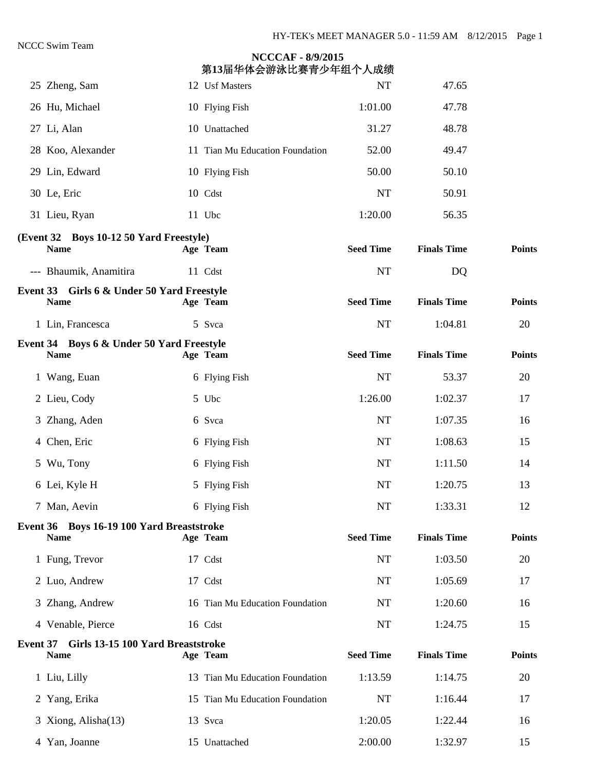|                 | 25 Zheng, Sam                                             | 12 Usf Masters                  | <b>NT</b>        | 47.65              |               |
|-----------------|-----------------------------------------------------------|---------------------------------|------------------|--------------------|---------------|
|                 | 26 Hu, Michael                                            | 10 Flying Fish                  | 1:01.00          | 47.78              |               |
|                 |                                                           |                                 |                  |                    |               |
|                 | 27 Li, Alan                                               | 10 Unattached                   | 31.27            | 48.78              |               |
|                 | 28 Koo, Alexander                                         | 11 Tian Mu Education Foundation | 52.00            | 49.47              |               |
|                 | 29 Lin, Edward                                            | 10 Flying Fish                  | 50.00            | 50.10              |               |
|                 | 30 Le, Eric                                               | 10 Cdst                         | <b>NT</b>        | 50.91              |               |
|                 | 31 Lieu, Ryan                                             | 11 Ubc                          | 1:20.00          | 56.35              |               |
|                 | (Event 32 Boys 10-12 50 Yard Freestyle)<br><b>Name</b>    | Age Team                        | <b>Seed Time</b> | <b>Finals Time</b> | <b>Points</b> |
|                 | --- Bhaumik, Anamitira                                    | 11 Cdst                         | NT               | DQ                 |               |
|                 | Event 33 Girls 6 & Under 50 Yard Freestyle<br><b>Name</b> | Age Team                        | <b>Seed Time</b> | <b>Finals Time</b> | <b>Points</b> |
|                 | 1 Lin, Francesca                                          | 5 Svca                          | <b>NT</b>        | 1:04.81            | 20            |
|                 | Event 34 Boys 6 & Under 50 Yard Freestyle<br><b>Name</b>  | Age Team                        | <b>Seed Time</b> | <b>Finals Time</b> | <b>Points</b> |
|                 | 1 Wang, Euan                                              | 6 Flying Fish                   | <b>NT</b>        | 53.37              | 20            |
|                 | 2 Lieu, Cody                                              | 5 Ubc                           | 1:26.00          | 1:02.37            | 17            |
|                 | 3 Zhang, Aden                                             | 6 Svca                          | <b>NT</b>        | 1:07.35            | 16            |
|                 | 4 Chen, Eric                                              | 6 Flying Fish                   | <b>NT</b>        | 1:08.63            | 15            |
|                 | 5 Wu, Tony                                                | 6 Flying Fish                   | <b>NT</b>        | 1:11.50            | 14            |
|                 | 6 Lei, Kyle H                                             | 5 Flying Fish                   | <b>NT</b>        | 1:20.75            | 13            |
|                 | 7 Man, Aevin                                              | 6 Flying Fish                   | <b>NT</b>        | 1:33.31            | 12            |
|                 | Event 36 Boys 16-19 100 Yard Breaststroke<br><b>Name</b>  | Age Team                        | <b>Seed Time</b> | <b>Finals Time</b> | <b>Points</b> |
|                 | 1 Fung, Trevor                                            | 17 Cdst                         | NT               | 1:03.50            | 20            |
|                 | 2 Luo, Andrew                                             | 17 Cdst                         | <b>NT</b>        | 1:05.69            | 17            |
|                 | 3 Zhang, Andrew                                           | 16 Tian Mu Education Foundation | NT               | 1:20.60            | 16            |
|                 | 4 Venable, Pierce                                         | 16 Cdst                         | NT               | 1:24.75            | 15            |
| <b>Event 37</b> | Girls 13-15 100 Yard Breaststroke<br><b>Name</b>          | Age Team                        | <b>Seed Time</b> | <b>Finals Time</b> | <b>Points</b> |
|                 | 1 Liu, Lilly                                              | 13 Tian Mu Education Foundation | 1:13.59          | 1:14.75            | 20            |
|                 | 2 Yang, Erika                                             | 15 Tian Mu Education Foundation | <b>NT</b>        | 1:16.44            | 17            |
|                 | 3 Xiong, Alisha(13)                                       | 13 Svca                         | 1:20.05          | 1:22.44            | 16            |
|                 | 4 Yan, Joanne                                             | 15 Unattached                   | 2:00.00          | 1:32.97            | 15            |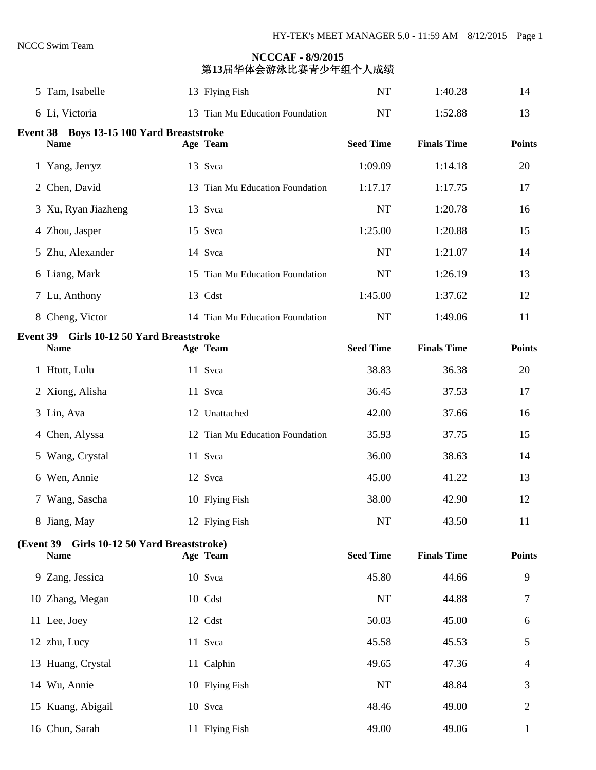| 5 Tam, Isabelle                                            | 13 Flying Fish                  | <b>NT</b>        | 1:40.28            | 14             |
|------------------------------------------------------------|---------------------------------|------------------|--------------------|----------------|
| 6 Li, Victoria                                             | 13 Tian Mu Education Foundation | <b>NT</b>        | 1:52.88            | 13             |
| Event 38 Boys 13-15 100 Yard Breaststroke<br><b>Name</b>   | Age Team                        | <b>Seed Time</b> | <b>Finals Time</b> | <b>Points</b>  |
| 1 Yang, Jerryz                                             | 13 Svca                         | 1:09.09          | 1:14.18            | 20             |
| 2 Chen, David                                              | 13 Tian Mu Education Foundation | 1:17.17          | 1:17.75            | 17             |
| 3 Xu, Ryan Jiazheng                                        | 13 Svca                         | <b>NT</b>        | 1:20.78            | 16             |
| 4 Zhou, Jasper                                             | 15 Svca                         | 1:25.00          | 1:20.88            | 15             |
| 5 Zhu, Alexander                                           | 14 Svca                         | <b>NT</b>        | 1:21.07            | 14             |
| 6 Liang, Mark                                              | 15 Tian Mu Education Foundation | <b>NT</b>        | 1:26.19            | 13             |
| 7 Lu, Anthony                                              | 13 Cdst                         | 1:45.00          | 1:37.62            | 12             |
| 8 Cheng, Victor                                            | 14 Tian Mu Education Foundation | NT               | 1:49.06            | 11             |
| Event 39 Girls 10-12 50 Yard Breaststroke<br><b>Name</b>   | Age Team                        | <b>Seed Time</b> | <b>Finals Time</b> | <b>Points</b>  |
| 1 Htutt, Lulu                                              | 11 Svca                         | 38.83            | 36.38              | 20             |
| 2 Xiong, Alisha                                            | 11 Svca                         | 36.45            | 37.53              | 17             |
| 3 Lin, Ava                                                 | 12 Unattached                   | 42.00            | 37.66              | 16             |
| 4 Chen, Alyssa                                             | 12 Tian Mu Education Foundation | 35.93            | 37.75              | 15             |
| 5 Wang, Crystal                                            | 11 Svca                         | 36.00            | 38.63              | 14             |
| 6 Wen, Annie                                               | 12 Svca                         | 45.00            | 41.22              | 13             |
| 7 Wang, Sascha                                             | 10 Flying Fish                  | 38.00            | 42.90              | 12             |
| 8 Jiang, May                                               | 12 Flying Fish                  | NT               | 43.50              | 11             |
| (Event 39 Girls 10-12 50 Yard Breaststroke)<br><b>Name</b> | Age Team                        | <b>Seed Time</b> | <b>Finals Time</b> | <b>Points</b>  |
| 9 Zang, Jessica                                            | 10 Svca                         | 45.80            | 44.66              | 9              |
| 10 Zhang, Megan                                            | 10 Cdst                         | NT               | 44.88              | 7              |
| 11 Lee, Joey                                               | 12 Cdst                         | 50.03            | 45.00              | 6              |
| 12 zhu, Lucy                                               | 11 Svca                         | 45.58            | 45.53              | 5              |
| 13 Huang, Crystal                                          | 11 Calphin                      | 49.65            | 47.36              | 4              |
| 14 Wu, Annie                                               | 10 Flying Fish                  | NT               | 48.84              | 3              |
| 15 Kuang, Abigail                                          | 10 Svca                         | 48.46            | 49.00              | $\overline{2}$ |
| 16 Chun, Sarah                                             | 11 Flying Fish                  | 49.00            | 49.06              | $\mathbf{1}$   |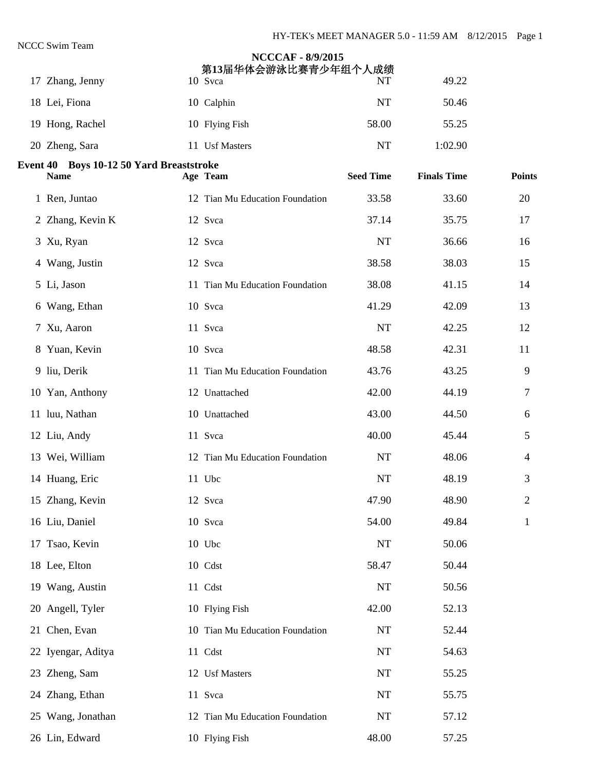| 17 Zhang, Jenny                                         | <b>NCCCAF - 8/9/2015</b><br>第13届华体会游泳比赛青少年组个人成绩<br>10 Svca | NT               | 49.22              |                |
|---------------------------------------------------------|------------------------------------------------------------|------------------|--------------------|----------------|
| 18 Lei, Fiona                                           | 10 Calphin                                                 | <b>NT</b>        | 50.46              |                |
| 19 Hong, Rachel                                         | 10 Flying Fish                                             | 58.00            | 55.25              |                |
| 20 Zheng, Sara                                          | 11 Usf Masters                                             | <b>NT</b>        | 1:02.90            |                |
| Event 40 Boys 10-12 50 Yard Breaststroke<br><b>Name</b> | Age Team                                                   | <b>Seed Time</b> | <b>Finals Time</b> | <b>Points</b>  |
| 1 Ren, Juntao                                           | 12 Tian Mu Education Foundation                            | 33.58            | 33.60              | 20             |
| 2 Zhang, Kevin K                                        | 12 Svca                                                    | 37.14            | 35.75              | 17             |
| 3 Xu, Ryan                                              | 12 Svca                                                    | <b>NT</b>        | 36.66              | 16             |
| 4 Wang, Justin                                          | 12 Svca                                                    | 38.58            | 38.03              | 15             |
| 5 Li, Jason                                             | 11 Tian Mu Education Foundation                            | 38.08            | 41.15              | 14             |
| 6 Wang, Ethan                                           | 10 Svca                                                    | 41.29            | 42.09              | 13             |
| 7 Xu, Aaron                                             | 11 Svca                                                    | <b>NT</b>        | 42.25              | 12             |
| 8 Yuan, Kevin                                           | 10 Svca                                                    | 48.58            | 42.31              | 11             |
| 9 liu, Derik                                            | 11 Tian Mu Education Foundation                            | 43.76            | 43.25              | 9              |
| 10 Yan, Anthony                                         | 12 Unattached                                              | 42.00            | 44.19              | 7              |
| 11 luu, Nathan                                          | 10 Unattached                                              | 43.00            | 44.50              | 6              |
| 12 Liu, Andy                                            | 11 Svca                                                    | 40.00            | 45.44              | 5              |
| 13 Wei, William                                         | 12 Tian Mu Education Foundation                            | <b>NT</b>        | 48.06              | 4              |
| 14 Huang, Eric                                          | 11 Ubc                                                     | NT               | 48.19              | 3              |
| 15 Zhang, Kevin                                         | 12 Svca                                                    | 47.90            | 48.90              | $\overline{2}$ |
| 16 Liu, Daniel                                          | 10 Svca                                                    | 54.00            | 49.84              | 1              |
| 17 Tsao, Kevin                                          | 10 Ubc                                                     | NT               | 50.06              |                |
| 18 Lee, Elton                                           | 10 Cdst                                                    | 58.47            | 50.44              |                |
| 19 Wang, Austin                                         | 11 Cdst                                                    | $\rm{NT}$        | 50.56              |                |
| 20 Angell, Tyler                                        | 10 Flying Fish                                             | 42.00            | 52.13              |                |
| 21 Chen, Evan                                           | 10 Tian Mu Education Foundation                            | NT               | 52.44              |                |
| 22 Iyengar, Aditya                                      | 11 Cdst                                                    | $\rm{NT}$        | 54.63              |                |
| 23 Zheng, Sam                                           | 12 Usf Masters                                             | $\rm{NT}$        | 55.25              |                |
| 24 Zhang, Ethan                                         | 11 Svca                                                    | NT               | 55.75              |                |
| 25 Wang, Jonathan                                       | 12 Tian Mu Education Foundation                            | NT               | 57.12              |                |
| 26 Lin, Edward                                          | 10 Flying Fish                                             | 48.00            | 57.25              |                |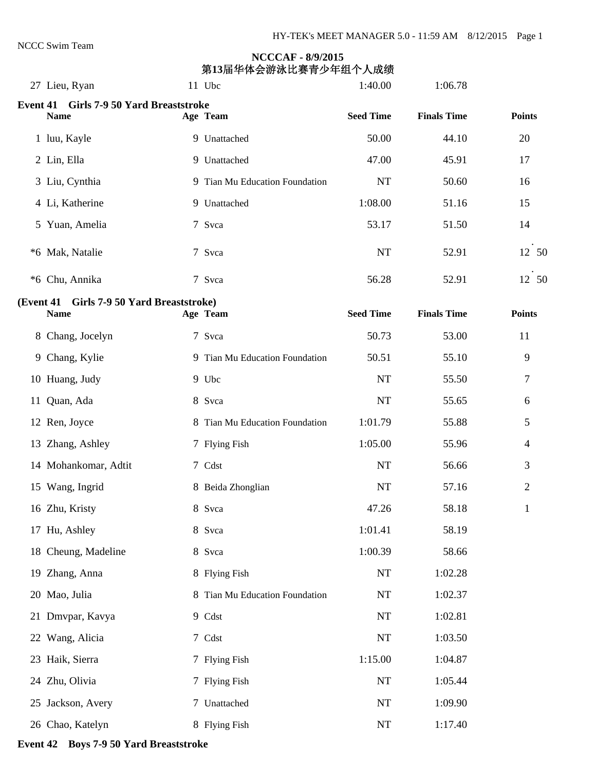| 27 Lieu, Ryan                                          | 11 Ubc                         | 1:40.00          | 1:06.78            |                |
|--------------------------------------------------------|--------------------------------|------------------|--------------------|----------------|
| Event 41 Girls 7-9 50 Yard Breaststroke<br><b>Name</b> | Age Team                       | <b>Seed Time</b> | <b>Finals Time</b> | <b>Points</b>  |
| 1 luu, Kayle                                           | 9 Unattached                   | 50.00            | 44.10              | 20             |
| 2 Lin, Ella                                            | 9 Unattached                   | 47.00            | 45.91              | 17             |
| 3 Liu, Cynthia                                         | 9 Tian Mu Education Foundation | <b>NT</b>        | 50.60              | 16             |
| 4 Li, Katherine                                        | 9 Unattached                   | 1:08.00          | 51.16              | 15             |
| 5 Yuan, Amelia                                         | 7 Svca                         | 53.17            | 51.50              | 14             |
| *6 Mak, Natalie                                        | 7 Svca                         | NT               | 52.91              | 12 50          |
| *6 Chu, Annika                                         | 7 Svca                         | 56.28            | 52.91              | 12 50          |
| (Event 41 Girls 7-9 50 Yard Breaststroke)              |                                |                  |                    |                |
| <b>Name</b>                                            | Age Team                       | <b>Seed Time</b> | <b>Finals Time</b> | <b>Points</b>  |
| 8 Chang, Jocelyn                                       | 7 Svca                         | 50.73            | 53.00              | 11             |
| 9 Chang, Kylie                                         | 9 Tian Mu Education Foundation | 50.51            | 55.10              | 9              |
| 10 Huang, Judy                                         | 9 Ubc                          | <b>NT</b>        | 55.50              | 7              |
| 11 Quan, Ada                                           | 8 Svca                         | NT               | 55.65              | 6              |
| 12 Ren, Joyce                                          | 8 Tian Mu Education Foundation | 1:01.79          | 55.88              | 5              |
| 13 Zhang, Ashley                                       | 7 Flying Fish                  | 1:05.00          | 55.96              | $\overline{4}$ |
| 14 Mohankomar, Adtit                                   | 7 Cdst                         | <b>NT</b>        | 56.66              | 3              |
| 15 Wang, Ingrid                                        | 8 Beida Zhonglian              | <b>NT</b>        | 57.16              | $\overline{2}$ |
| 16 Zhu, Kristy                                         | 8 Svca                         | 47.26            | 58.18              | $\mathbf{1}$   |
| 17 Hu, Ashley                                          | 8 Svca                         | 1:01.41          | 58.19              |                |
| 18 Cheung, Madeline                                    | 8 Svca                         | 1:00.39          | 58.66              |                |
| 19 Zhang, Anna                                         | 8 Flying Fish                  | NT               | 1:02.28            |                |
| 20 Mao, Julia                                          | 8 Tian Mu Education Foundation | NT               | 1:02.37            |                |
| 21 Dmvpar, Kavya                                       | 9 Cdst                         | NT               | 1:02.81            |                |
| 22 Wang, Alicia                                        | 7 Cdst                         | NT               | 1:03.50            |                |
| 23 Haik, Sierra                                        | 7 Flying Fish                  | 1:15.00          | 1:04.87            |                |
| 24 Zhu, Olivia                                         | 7 Flying Fish                  | NT               | 1:05.44            |                |
| 25 Jackson, Avery                                      | 7 Unattached                   | NT               | 1:09.90            |                |
| 26 Chao, Katelyn                                       | 8 Flying Fish                  | NT               | 1:17.40            |                |

#### **Event 42 Boys 7-9 50 Yard Breaststroke**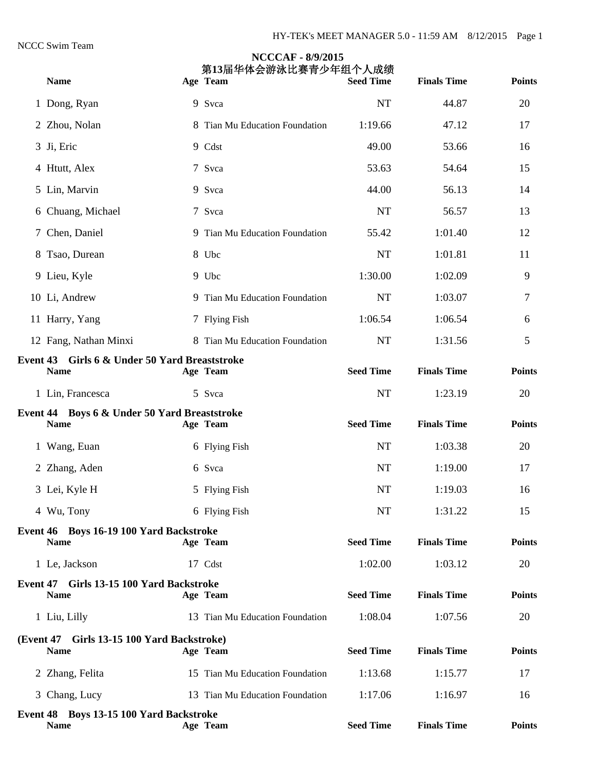|                                                              | <b>NCCCAF - 8/9/2015</b><br>第13届华体会游泳比赛青少年组个人成绩 |                  |                    |               |
|--------------------------------------------------------------|-------------------------------------------------|------------------|--------------------|---------------|
| <b>Name</b>                                                  | Age Team                                        | <b>Seed Time</b> | <b>Finals Time</b> | <b>Points</b> |
| 1 Dong, Ryan                                                 | 9 Svca                                          | <b>NT</b>        | 44.87              | 20            |
| 2 Zhou, Nolan                                                | 8 Tian Mu Education Foundation                  | 1:19.66          | 47.12              | 17            |
| 3 Ji, Eric                                                   | 9 Cdst                                          | 49.00            | 53.66              | 16            |
| 4 Htutt, Alex                                                | 7 Svca                                          | 53.63            | 54.64              | 15            |
| 5 Lin, Marvin                                                | 9 Svca                                          | 44.00            | 56.13              | 14            |
| 6 Chuang, Michael                                            | 7 Svca                                          | <b>NT</b>        | 56.57              | 13            |
| 7 Chen, Daniel                                               | 9 Tian Mu Education Foundation                  | 55.42            | 1:01.40            | 12            |
| 8 Tsao, Durean                                               | 8 Ubc                                           | <b>NT</b>        | 1:01.81            | 11            |
| 9 Lieu, Kyle                                                 | 9 Ubc                                           | 1:30.00          | 1:02.09            | 9             |
| 10 Li, Andrew                                                | 9 Tian Mu Education Foundation                  | <b>NT</b>        | 1:03.07            | 7             |
| 11 Harry, Yang                                               | 7 Flying Fish                                   | 1:06.54          | 1:06.54            | 6             |
| 12 Fang, Nathan Minxi                                        | 8 Tian Mu Education Foundation                  | <b>NT</b>        | 1:31.56            | 5             |
| Event 43 Girls 6 & Under 50 Yard Breaststroke<br><b>Name</b> | Age Team                                        | <b>Seed Time</b> | <b>Finals Time</b> | <b>Points</b> |
| 1 Lin, Francesca                                             | 5 Svca                                          | <b>NT</b>        | 1:23.19            | 20            |
| Event 44 Boys 6 & Under 50 Yard Breaststroke<br><b>Name</b>  | Age Team                                        | <b>Seed Time</b> | <b>Finals Time</b> | <b>Points</b> |
| 1 Wang, Euan                                                 | 6 Flying Fish                                   | NT               | 1:03.38            | 20            |
| 2 Zhang, Aden                                                | 6 Svca                                          | <b>NT</b>        | 1:19.00            | 17            |
| 3 Lei, Kyle H                                                | 5 Flying Fish                                   | NT               | 1:19.03            | 16            |
| 4 Wu, Tony                                                   | 6 Flying Fish                                   | NT               | 1:31.22            | 15            |
| Event 46 Boys 16-19 100 Yard Backstroke<br><b>Name</b>       | Age Team                                        | <b>Seed Time</b> | <b>Finals Time</b> | <b>Points</b> |
| 1 Le, Jackson                                                | 17 Cdst                                         | 1:02.00          | 1:03.12            | 20            |
| Event 47 Girls 13-15 100 Yard Backstroke<br><b>Name</b>      | Age Team                                        | <b>Seed Time</b> | <b>Finals Time</b> | <b>Points</b> |
| 1 Liu, Lilly                                                 | 13 Tian Mu Education Foundation                 | 1:08.04          | 1:07.56            | 20            |
| (Event 47 Girls 13-15 100 Yard Backstroke)                   |                                                 |                  |                    |               |
| <b>Name</b>                                                  | Age Team                                        | <b>Seed Time</b> | <b>Finals Time</b> | <b>Points</b> |
| 2 Zhang, Felita                                              | 15 Tian Mu Education Foundation                 | 1:13.68          | 1:15.77            | 17            |
| 3 Chang, Lucy                                                | 13 Tian Mu Education Foundation                 | 1:17.06          | 1:16.97            | 16            |
| Event 48 Boys 13-15 100 Yard Backstroke<br><b>Name</b>       | Age Team                                        | <b>Seed Time</b> | <b>Finals Time</b> | <b>Points</b> |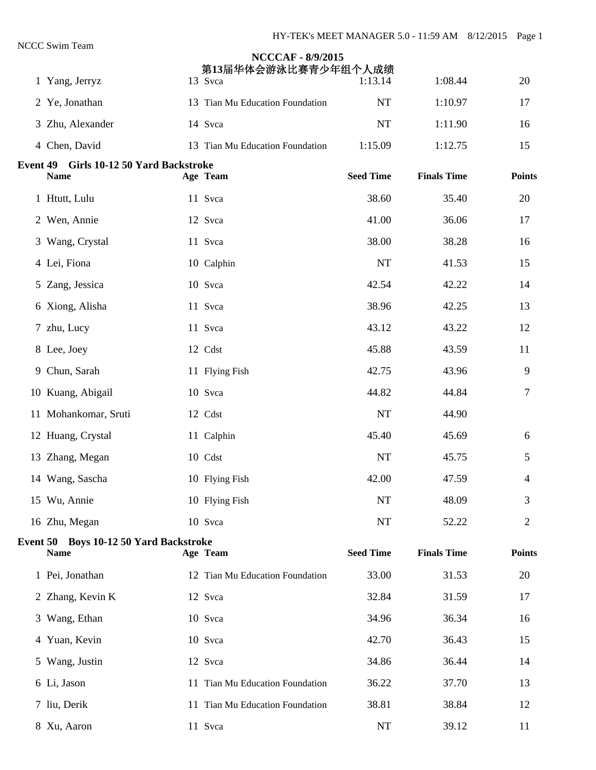|                                                        | <b>NCCCAF - 8/9/2015</b><br>第13届华体会游泳比赛青少年组个人成绩 |                  |                    |               |
|--------------------------------------------------------|-------------------------------------------------|------------------|--------------------|---------------|
| 1 Yang, Jerryz                                         | 13 Svca                                         | 1:13.14          | 1:08.44            | 20            |
| 2 Ye, Jonathan                                         | 13 Tian Mu Education Foundation                 | <b>NT</b>        | 1:10.97            | 17            |
| 3 Zhu, Alexander                                       | 14 Svca                                         | <b>NT</b>        | 1:11.90            | 16            |
| 4 Chen, David                                          | 13 Tian Mu Education Foundation                 | 1:15.09          | 1:12.75            | 15            |
| Event 49 Girls 10-12 50 Yard Backstroke<br><b>Name</b> | Age Team                                        | <b>Seed Time</b> | <b>Finals Time</b> | <b>Points</b> |
|                                                        |                                                 |                  |                    |               |
| 1 Htutt, Lulu                                          | 11 Svca                                         | 38.60            | 35.40              | 20            |
| 2 Wen, Annie                                           | 12 Svca                                         | 41.00            | 36.06              | 17            |
| 3 Wang, Crystal                                        | 11 Svca                                         | 38.00            | 38.28              | 16            |
| 4 Lei, Fiona                                           | 10 Calphin                                      | <b>NT</b>        | 41.53              | 15            |
| 5 Zang, Jessica                                        | 10 Svca                                         | 42.54            | 42.22              | 14            |
| 6 Xiong, Alisha                                        | 11 Svca                                         | 38.96            | 42.25              | 13            |
| 7 zhu, Lucy                                            | 11 Svca                                         | 43.12            | 43.22              | 12            |
| 8 Lee, Joey                                            | 12 Cdst                                         | 45.88            | 43.59              | 11            |
| 9 Chun, Sarah                                          | 11 Flying Fish                                  | 42.75            | 43.96              | 9             |
| 10 Kuang, Abigail                                      | 10 Svca                                         | 44.82            | 44.84              | 7             |
| 11 Mohankomar, Sruti                                   | 12 Cdst                                         | <b>NT</b>        | 44.90              |               |
| 12 Huang, Crystal                                      | 11 Calphin                                      | 45.40            | 45.69              | 6             |
| 13 Zhang, Megan                                        | 10 Cdst                                         | NT               | 45.75              | 5             |
| 14 Wang, Sascha                                        | 10 Flying Fish                                  | 42.00            | 47.59              | 4             |
| 15 Wu, Annie                                           | 10 Flying Fish                                  | <b>NT</b>        | 48.09              | 3             |
| 16 Zhu, Megan                                          | 10 Svca                                         | NT               | 52.22              | 2             |
| Event 50 Boys 10-12 50 Yard Backstroke<br><b>Name</b>  | Age Team                                        | <b>Seed Time</b> | <b>Finals Time</b> | <b>Points</b> |
| 1 Pei, Jonathan                                        | 12 Tian Mu Education Foundation                 | 33.00            | 31.53              | 20            |
| 2 Zhang, Kevin K                                       | 12 Svca                                         | 32.84            | 31.59              | 17            |
| 3 Wang, Ethan                                          | 10 Svca                                         | 34.96            | 36.34              | 16            |
| 4 Yuan, Kevin                                          | 10 Svca                                         | 42.70            | 36.43              | 15            |
| 5 Wang, Justin                                         | 12 Svca                                         | 34.86            | 36.44              | 14            |
| 6 Li, Jason                                            | 11 Tian Mu Education Foundation                 | 36.22            | 37.70              | 13            |
| 7 liu, Derik                                           | 11 Tian Mu Education Foundation                 | 38.81            | 38.84              | 12            |
| 8 Xu, Aaron                                            | 11 Svca                                         | NT               | 39.12              | 11            |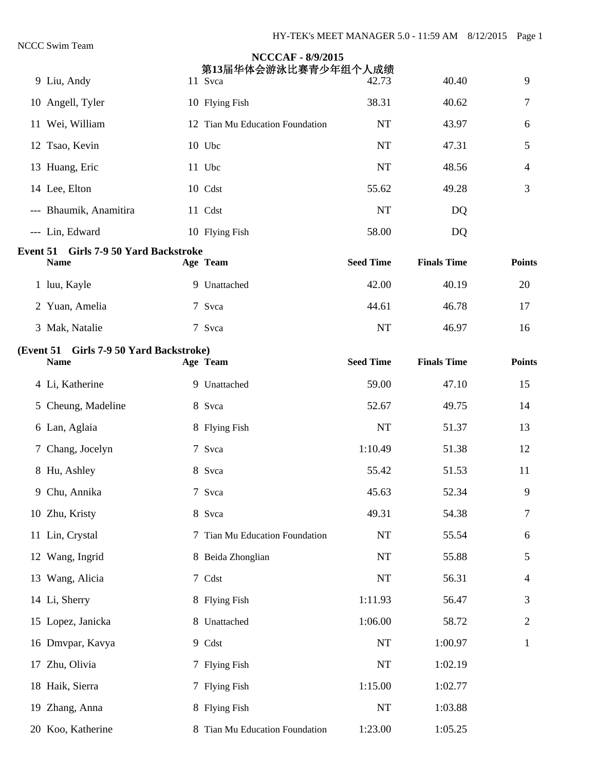| 9 Liu, Andy                                            | <b>NCCCAF - 8/9/2015</b><br>第13届华体会游泳比赛青少年组个人成绩<br>11 Svca | 42.73            | 40.40              | 9              |
|--------------------------------------------------------|------------------------------------------------------------|------------------|--------------------|----------------|
| 10 Angell, Tyler                                       | 10 Flying Fish                                             | 38.31            | 40.62              | 7              |
| 11 Wei, William                                        | 12 Tian Mu Education Foundation                            | <b>NT</b>        | 43.97              | 6              |
| 12 Tsao, Kevin                                         | 10 Ubc                                                     | <b>NT</b>        | 47.31              | 5              |
| 13 Huang, Eric                                         | 11 Ubc                                                     | <b>NT</b>        | 48.56              | $\overline{4}$ |
| 14 Lee, Elton                                          | 10 Cdst                                                    | 55.62            | 49.28              | 3              |
| --- Bhaumik, Anamitira                                 | 11 Cdst                                                    | <b>NT</b>        | DQ                 |                |
| --- Lin, Edward                                        | 10 Flying Fish                                             | 58.00            | DQ                 |                |
| Event 51 Girls 7-9 50 Yard Backstroke<br><b>Name</b>   | Age Team                                                   | <b>Seed Time</b> | <b>Finals Time</b> | <b>Points</b>  |
| 1 luu, Kayle                                           | 9 Unattached                                               | 42.00            | 40.19              | 20             |
| 2 Yuan, Amelia                                         | 7 Svca                                                     | 44.61            | 46.78              | 17             |
| 3 Mak, Natalie                                         | 7 Svca                                                     | NT               | 46.97              | 16             |
| (Event 51 Girls 7-9 50 Yard Backstroke)<br><b>Name</b> | Age Team                                                   | <b>Seed Time</b> | <b>Finals Time</b> | <b>Points</b>  |
| 4 Li, Katherine                                        | 9 Unattached                                               | 59.00            | 47.10              | 15             |
| 5 Cheung, Madeline                                     | 8 Svca                                                     | 52.67            | 49.75              | 14             |
| 6 Lan, Aglaia                                          | 8 Flying Fish                                              | <b>NT</b>        | 51.37              | 13             |
| 7 Chang, Jocelyn                                       | 7 Svca                                                     | 1:10.49          | 51.38              | 12             |
| 8 Hu, Ashley                                           | 8 Svca                                                     | 55.42            | 51.53              | 11             |
| 9 Chu, Annika                                          | 7 Svca                                                     | 45.63            | 52.34              | 9              |
| 10 Zhu, Kristy                                         | 8 Svca                                                     | 49.31            | 54.38              | 7              |
| 11 Lin, Crystal                                        | 7 Tian Mu Education Foundation                             | <b>NT</b>        | 55.54              | 6              |
| 12 Wang, Ingrid                                        | 8 Beida Zhonglian                                          | NT               | 55.88              | 5              |
| 13 Wang, Alicia                                        | 7 Cdst                                                     | NT               | 56.31              | 4              |
| 14 Li, Sherry                                          | 8 Flying Fish                                              | 1:11.93          | 56.47              | 3              |
| 15 Lopez, Janicka                                      | 8 Unattached                                               | 1:06.00          | 58.72              | $\overline{c}$ |
| 16 Dmvpar, Kavya                                       | 9 Cdst                                                     | NT               | 1:00.97            | 1              |
| 17 Zhu, Olivia                                         | 7 Flying Fish                                              | $\rm{NT}$        | 1:02.19            |                |
| 18 Haik, Sierra                                        | 7 Flying Fish                                              | 1:15.00          | 1:02.77            |                |
| 19 Zhang, Anna                                         | 8 Flying Fish                                              | $\rm{NT}$        | 1:03.88            |                |
| 20 Koo, Katherine                                      | 8 Tian Mu Education Foundation                             | 1:23.00          | 1:05.25            |                |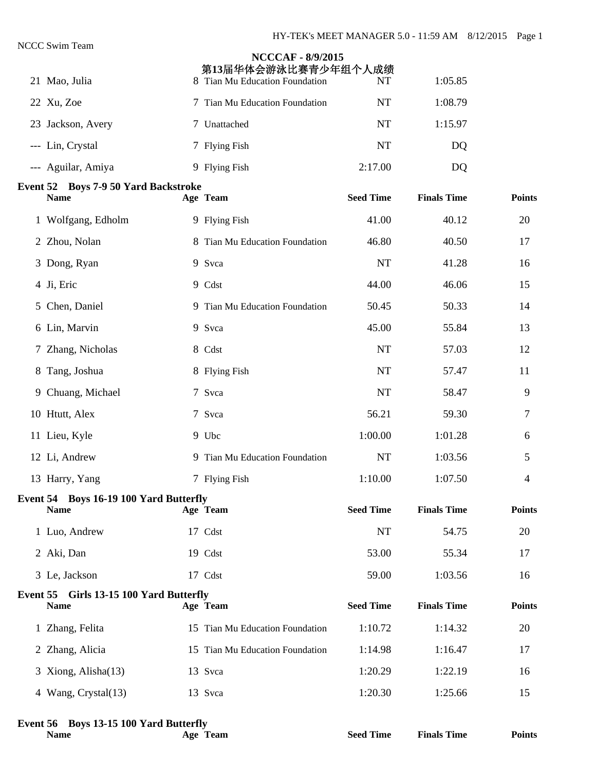|                                                               | <b>NCCCAF - 8/9/2015</b><br>第13届华体会游泳比赛青少年组个人成绩 |                  |                    |               |
|---------------------------------------------------------------|-------------------------------------------------|------------------|--------------------|---------------|
| 21 Mao, Julia                                                 | 8 Tian Mu Education Foundation                  | NT               | 1:05.85            |               |
| 22 Xu, Zoe                                                    | 7 Tian Mu Education Foundation                  | <b>NT</b>        | 1:08.79            |               |
| 23 Jackson, Avery                                             | 7 Unattached                                    | <b>NT</b>        | 1:15.97            |               |
| --- Lin, Crystal                                              | 7 Flying Fish                                   | <b>NT</b>        | DQ                 |               |
| --- Aguilar, Amiya                                            | 9 Flying Fish                                   | 2:17.00          | DQ                 |               |
| <b>Event 52 Boys 7-9 50 Yard Backstroke</b><br><b>Name</b>    | Age Team                                        | <b>Seed Time</b> | <b>Finals Time</b> | <b>Points</b> |
| 1 Wolfgang, Edholm                                            | 9 Flying Fish                                   | 41.00            | 40.12              | 20            |
| 2 Zhou, Nolan                                                 | 8 Tian Mu Education Foundation                  | 46.80            | 40.50              | 17            |
| 3 Dong, Ryan                                                  | 9 Svca                                          | <b>NT</b>        | 41.28              | 16            |
| 4 Ji, Eric                                                    | 9 Cdst                                          | 44.00            | 46.06              | 15            |
| 5 Chen, Daniel                                                | 9 Tian Mu Education Foundation                  | 50.45            | 50.33              | 14            |
| 6 Lin, Marvin                                                 | 9 Svca                                          | 45.00            | 55.84              | 13            |
| 7 Zhang, Nicholas                                             | 8 Cdst                                          | <b>NT</b>        | 57.03              | 12            |
| 8 Tang, Joshua                                                | 8 Flying Fish                                   | <b>NT</b>        | 57.47              | 11            |
| 9 Chuang, Michael                                             | 7 Svca                                          | <b>NT</b>        | 58.47              | 9             |
| 10 Htutt, Alex                                                | 7 Svca                                          | 56.21            | 59.30              | 7             |
| 11 Lieu, Kyle                                                 | 9 Ubc                                           | 1:00.00          | 1:01.28            | 6             |
| 12 Li, Andrew                                                 | 9 Tian Mu Education Foundation                  | <b>NT</b>        | 1:03.56            | 5             |
| 13 Harry, Yang                                                | 7 Flying Fish                                   | 1:10.00          | 1:07.50            | 4             |
| <b>Event 54 Boys 16-19 100 Yard Butterfly</b><br><b>Name</b>  | Age Team                                        | <b>Seed Time</b> | <b>Finals Time</b> | <b>Points</b> |
| 1 Luo, Andrew                                                 | 17 Cdst                                         | <b>NT</b>        | 54.75              | 20            |
| 2 Aki, Dan                                                    | 19 Cdst                                         | 53.00            | 55.34              | 17            |
| 3 Le, Jackson                                                 | 17 Cdst                                         | 59.00            | 1:03.56            | 16            |
| <b>Event 55 Girls 13-15 100 Yard Butterfly</b><br><b>Name</b> | Age Team                                        | <b>Seed Time</b> | <b>Finals Time</b> | <b>Points</b> |
| 1 Zhang, Felita                                               | 15 Tian Mu Education Foundation                 | 1:10.72          | 1:14.32            | 20            |
| 2 Zhang, Alicia                                               | 15 Tian Mu Education Foundation                 | 1:14.98          | 1:16.47            | 17            |
| 3 Xiong, Alisha(13)                                           | 13 Svca                                         | 1:20.29          | 1:22.19            | 16            |
| 4 Wang, Crystal(13)                                           | 13 Svca                                         | 1:20.30          | 1:25.66            | 15            |
|                                                               |                                                 |                  |                    |               |

#### **Event 56 Boys 13-15 100 Yard Butterfly**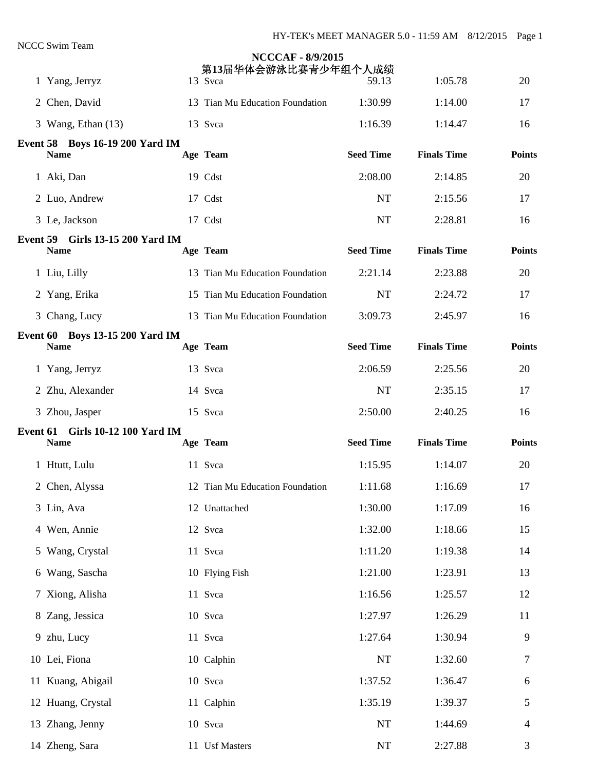| 1 Yang, Jerryz                                        | <b>NCCCAF - 8/9/2015</b><br>第13届华体会游泳比赛青少年组个人成绩<br>13 Svca | 59.13            | 1:05.78            | 20            |
|-------------------------------------------------------|------------------------------------------------------------|------------------|--------------------|---------------|
| 2 Chen, David                                         | 13 Tian Mu Education Foundation                            | 1:30.99          | 1:14.00            | 17            |
| 3 Wang, Ethan (13)                                    | 13 Svca                                                    | 1:16.39          | 1:14.47            | 16            |
| <b>Event 58 Boys 16-19 200 Yard IM</b><br><b>Name</b> | Age Team                                                   | <b>Seed Time</b> | <b>Finals Time</b> | <b>Points</b> |
| 1 Aki, Dan                                            | 19 Cdst                                                    | 2:08.00          | 2:14.85            | 20            |
| 2 Luo, Andrew                                         | 17 Cdst                                                    | NT               | 2:15.56            | 17            |
| 3 Le, Jackson                                         | 17 Cdst                                                    | <b>NT</b>        | 2:28.81            | 16            |
| Event 59 Girls 13-15 200 Yard IM<br><b>Name</b>       | Age Team                                                   | <b>Seed Time</b> | <b>Finals Time</b> | <b>Points</b> |
| 1 Liu, Lilly                                          | 13 Tian Mu Education Foundation                            | 2:21.14          | 2:23.88            | 20            |
| 2 Yang, Erika                                         | 15 Tian Mu Education Foundation                            | <b>NT</b>        | 2:24.72            | 17            |
| 3 Chang, Lucy                                         | 13 Tian Mu Education Foundation                            | 3:09.73          | 2:45.97            | 16            |
| Event 60 Boys 13-15 200 Yard IM<br><b>Name</b>        | Age Team                                                   | <b>Seed Time</b> | <b>Finals Time</b> | <b>Points</b> |
| 1 Yang, Jerryz                                        | 13 Svca                                                    | 2:06.59          | 2:25.56            | 20            |
| 2 Zhu, Alexander                                      | 14 Svca                                                    | <b>NT</b>        | 2:35.15            | 17            |
| 3 Zhou, Jasper                                        | 15 Svca                                                    | 2:50.00          | 2:40.25            | 16            |
| Event 61 Girls 10-12 100 Yard IM<br><b>Name</b>       | Age Team                                                   | <b>Seed Time</b> | <b>Finals Time</b> | <b>Points</b> |
| 1 Htutt, Lulu                                         | 11 Svca                                                    | 1:15.95          | 1:14.07            | 20            |
| 2 Chen, Alyssa                                        | 12 Tian Mu Education Foundation                            | 1:11.68          | 1:16.69            | 17            |
| 3 Lin, Ava                                            | 12 Unattached                                              | 1:30.00          | 1:17.09            | 16            |
| 4 Wen, Annie                                          | 12 Svca                                                    | 1:32.00          | 1:18.66            | 15            |
| 5 Wang, Crystal                                       | 11 Svca                                                    | 1:11.20          | 1:19.38            | 14            |
| 6 Wang, Sascha                                        | 10 Flying Fish                                             | 1:21.00          | 1:23.91            | 13            |
| 7 Xiong, Alisha                                       | 11 Svca                                                    | 1:16.56          | 1:25.57            | 12            |
| 8 Zang, Jessica                                       | 10 Svca                                                    | 1:27.97          | 1:26.29            | 11            |
| 9 zhu, Lucy                                           | 11 Svca                                                    | 1:27.64          | 1:30.94            | 9             |
| 10 Lei, Fiona                                         | 10 Calphin                                                 | NT               | 1:32.60            | 7             |
| 11 Kuang, Abigail                                     | 10 Svca                                                    | 1:37.52          | 1:36.47            | 6             |
| 12 Huang, Crystal                                     | 11 Calphin                                                 | 1:35.19          | 1:39.37            | 5             |
| 13 Zhang, Jenny                                       | 10 Svca                                                    | NT               | 1:44.69            | 4             |
| 14 Zheng, Sara                                        | 11 Usf Masters                                             | $\rm{NT}$        | 2:27.88            | 3             |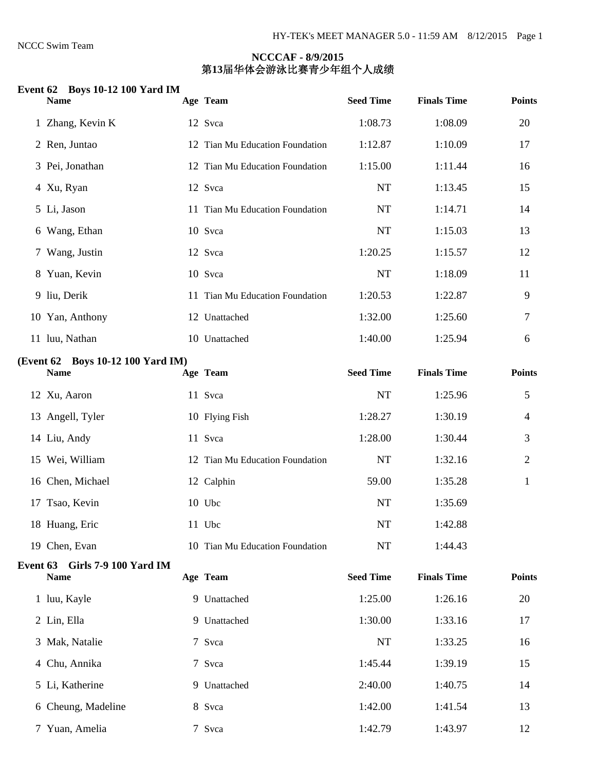#### **Event 62 Boys 10-12 100 Yard IM**

| <b>Name</b>                                      | Age Team                        | <b>Seed Time</b> | <b>Finals Time</b> | <b>Points</b>  |
|--------------------------------------------------|---------------------------------|------------------|--------------------|----------------|
| 1 Zhang, Kevin K                                 | 12 Svca                         | 1:08.73          | 1:08.09            | 20             |
| 2 Ren, Juntao                                    | 12 Tian Mu Education Foundation | 1:12.87          | 1:10.09            | 17             |
| 3 Pei, Jonathan                                  | 12 Tian Mu Education Foundation | 1:15.00          | 1:11.44            | 16             |
| 4 Xu, Ryan                                       | 12 Svca                         | <b>NT</b>        | 1:13.45            | 15             |
| 5 Li, Jason                                      | 11 Tian Mu Education Foundation | NT               | 1:14.71            | 14             |
| 6 Wang, Ethan                                    | 10 Svca                         | <b>NT</b>        | 1:15.03            | 13             |
| 7 Wang, Justin                                   | 12 Svca                         | 1:20.25          | 1:15.57            | 12             |
| 8 Yuan, Kevin                                    | 10 Svca                         | <b>NT</b>        | 1:18.09            | 11             |
| 9 liu, Derik                                     | 11 Tian Mu Education Foundation | 1:20.53          | 1:22.87            | 9              |
| 10 Yan, Anthony                                  | 12 Unattached                   | 1:32.00          | 1:25.60            | 7              |
| 11 luu, Nathan                                   | 10 Unattached                   | 1:40.00          | 1:25.94            | 6              |
| (Event 62 Boys 10-12 100 Yard IM)<br><b>Name</b> | Age Team                        | <b>Seed Time</b> | <b>Finals Time</b> | <b>Points</b>  |
| 12 Xu, Aaron                                     | 11 Svca                         | NT               | 1:25.96            | 5              |
| 13 Angell, Tyler                                 | 10 Flying Fish                  | 1:28.27          | 1:30.19            | $\overline{4}$ |
| 14 Liu, Andy                                     | 11 Svca                         | 1:28.00          | 1:30.44            | 3              |
| 15 Wei, William                                  | 12 Tian Mu Education Foundation | NT               | 1:32.16            | $\overline{2}$ |
| 16 Chen, Michael                                 | 12 Calphin                      | 59.00            | 1:35.28            | $\mathbf{1}$   |
| 17 Tsao, Kevin                                   | 10 Ubc                          | <b>NT</b>        | 1:35.69            |                |
| 18 Huang, Eric                                   | 11 Ubc                          | <b>NT</b>        | 1:42.88            |                |
| 19 Chen, Evan                                    | 10 Tian Mu Education Foundation | NT               | 1:44.43            |                |
| Event 63 Girls 7-9 100 Yard IM<br><b>Name</b>    | Age Team                        | <b>Seed Time</b> | <b>Finals Time</b> | <b>Points</b>  |
|                                                  |                                 |                  |                    |                |
| 1 luu, Kayle                                     | 9 Unattached                    | 1:25.00          | 1:26.16            | 20             |
| 2 Lin, Ella                                      | 9 Unattached                    | 1:30.00          | 1:33.16            | 17             |
| 3 Mak, Natalie                                   | 7 Svca                          | <b>NT</b>        | 1:33.25            | 16             |
| 4 Chu, Annika                                    | 7 Svca                          | 1:45.44          | 1:39.19            | 15             |
| 5 Li, Katherine                                  | 9 Unattached                    | 2:40.00          | 1:40.75            | 14             |
| 6 Cheung, Madeline                               | 8 Svca                          | 1:42.00          | 1:41.54            | 13             |
| 7 Yuan, Amelia                                   | 7 Svca                          | 1:42.79          | 1:43.97            | 12             |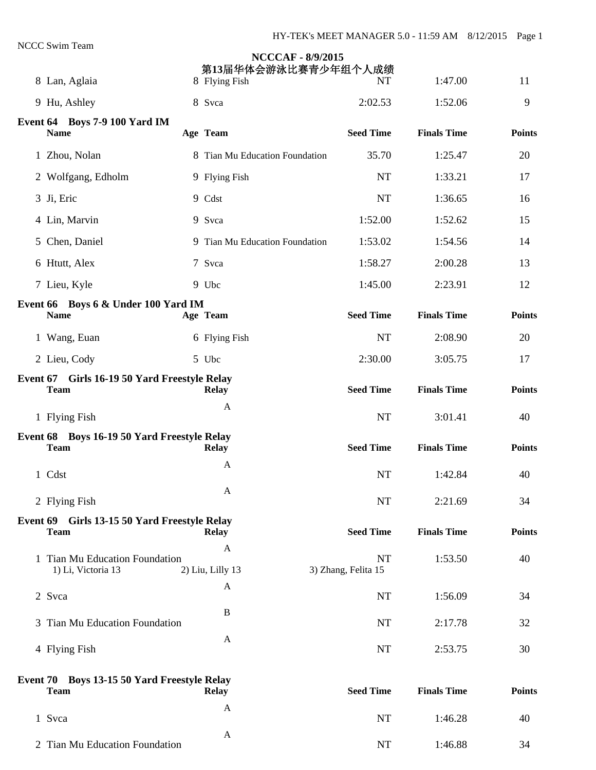| ССС Эмші теаш                                               |                                | <b>NCCCAF - 8/9/2015</b><br>第13届华体会游泳比赛青少年组个人成绩 |                    |               |
|-------------------------------------------------------------|--------------------------------|-------------------------------------------------|--------------------|---------------|
| 8 Lan, Aglaia                                               | 8 Flying Fish                  | NT                                              | 1:47.00            | 11            |
| 9 Hu, Ashley                                                | 8 Svca                         | 2:02.53                                         | 1:52.06            | 9             |
| Event 64 Boys 7-9 100 Yard IM<br><b>Name</b>                | Age Team                       | <b>Seed Time</b>                                | <b>Finals Time</b> | <b>Points</b> |
| 1 Zhou, Nolan                                               | 8 Tian Mu Education Foundation | 35.70                                           | 1:25.47            | 20            |
| 2 Wolfgang, Edholm                                          | 9 Flying Fish                  | <b>NT</b>                                       | 1:33.21            | 17            |
| 3 Ji, Eric                                                  | 9 Cdst                         | <b>NT</b>                                       | 1:36.65            | 16            |
| 4 Lin, Marvin                                               | 9 Svca                         | 1:52.00                                         | 1:52.62            | 15            |
| 5 Chen, Daniel                                              | 9 Tian Mu Education Foundation | 1:53.02                                         | 1:54.56            | 14            |
| 6 Htutt, Alex                                               | 7 Svca                         | 1:58.27                                         | 2:00.28            | 13            |
| 7 Lieu, Kyle                                                | 9 Ubc                          | 1:45.00                                         | 2:23.91            | 12            |
| Event 66 Boys 6 & Under 100 Yard IM<br><b>Name</b>          | Age Team                       | <b>Seed Time</b>                                | <b>Finals Time</b> | <b>Points</b> |
| 1 Wang, Euan                                                | 6 Flying Fish                  | <b>NT</b>                                       | 2:08.90            | 20            |
| 2 Lieu, Cody                                                | 5 Ubc                          | 2:30.00                                         | 3:05.75            | 17            |
| Event 67 Girls 16-19 50 Yard Freestyle Relay<br><b>Team</b> | <b>Relay</b>                   | <b>Seed Time</b>                                | <b>Finals Time</b> | <b>Points</b> |
| 1 Flying Fish                                               | A                              | <b>NT</b>                                       | 3:01.41            | 40            |
| Event 68 Boys 16-19 50 Yard Freestyle Relay<br><b>Team</b>  | <b>Relay</b>                   | <b>Seed Time</b>                                | <b>Finals Time</b> | <b>Points</b> |
| 1 Cdst                                                      | A                              | <b>NT</b>                                       | 1:42.84            | 40            |
| 2 Flying Fish                                               | $\mathbf{A}$                   | <b>NT</b>                                       | 2:21.69            | 34            |
| Event 69 Girls 13-15 50 Yard Freestyle Relay                |                                |                                                 |                    |               |
| <b>Team</b>                                                 | <b>Relay</b><br>A              | <b>Seed Time</b>                                | <b>Finals Time</b> | <b>Points</b> |
| 1 Tian Mu Education Foundation<br>1) Li, Victoria 13        | 2) Liu, Lilly 13               | <b>NT</b><br>3) Zhang, Felita 15                | 1:53.50            | 40            |
| 2 Svca                                                      | A                              | <b>NT</b>                                       | 1:56.09            | 34            |
| 3 Tian Mu Education Foundation                              | B                              | <b>NT</b>                                       | 2:17.78            | 32            |
| 4 Flying Fish                                               | A                              | <b>NT</b>                                       | 2:53.75            | 30            |
| Event 70 Boys 13-15 50 Yard Freestyle Relay<br><b>Team</b>  | <b>Relay</b>                   | <b>Seed Time</b>                                | <b>Finals Time</b> | <b>Points</b> |
| 1 Svca                                                      | A                              | <b>NT</b>                                       | 1:46.28            | 40            |
| 2 Tian Mu Education Foundation                              | $\mathbf{A}$                   | NT                                              | 1:46.88            | 34            |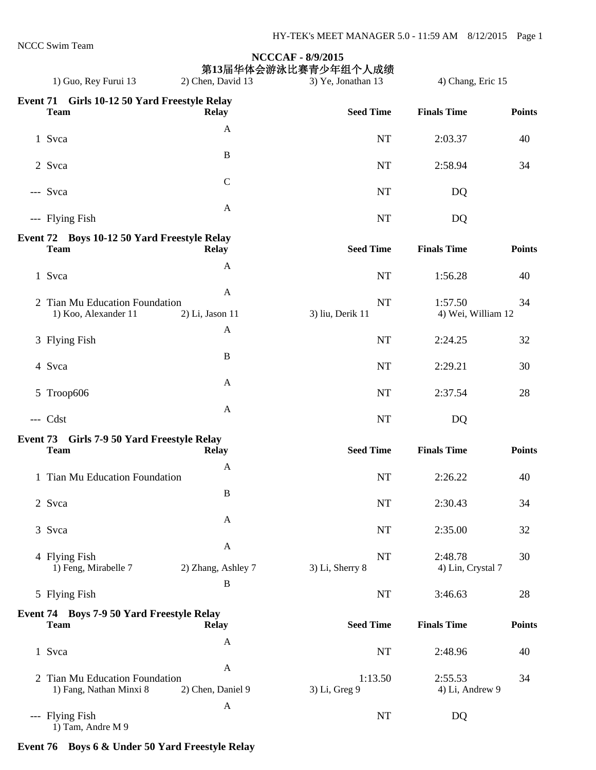|                                                            |                    | <b>NCCCAF - 8/9/2015</b>                  |                              |               |
|------------------------------------------------------------|--------------------|-------------------------------------------|------------------------------|---------------|
| 1) Guo, Rey Furui 13                                       | 2) Chen, David 13  | 第13届华体会游泳比赛青少年组个人成绩<br>3) Ye, Jonathan 13 | 4) Chang, Eric 15            |               |
| Event 71 Girls 10-12 50 Yard Freestyle Relay               |                    |                                           |                              |               |
| <b>Team</b>                                                | <b>Relay</b>       | <b>Seed Time</b>                          | <b>Finals Time</b>           | <b>Points</b> |
| 1 Svca                                                     | A                  | <b>NT</b>                                 | 2:03.37                      | 40            |
|                                                            | $\bf{B}$           |                                           |                              |               |
| 2 Svca                                                     |                    | <b>NT</b>                                 | 2:58.94                      | 34            |
|                                                            | $\mathcal{C}$      |                                           |                              |               |
| --- Svca                                                   |                    | NT                                        | DQ                           |               |
| --- Flying Fish                                            | A                  | <b>NT</b>                                 | DQ                           |               |
|                                                            |                    |                                           |                              |               |
| Event 72 Boys 10-12 50 Yard Freestyle Relay<br><b>Team</b> | <b>Relay</b>       | <b>Seed Time</b>                          | <b>Finals Time</b>           | <b>Points</b> |
| 1 Svca                                                     | A                  | <b>NT</b>                                 | 1:56.28                      | 40            |
|                                                            | $\mathbf{A}$       |                                           |                              |               |
| 2 Tian Mu Education Foundation                             |                    | <b>NT</b>                                 | 1:57.50                      | 34            |
| 1) Koo, Alexander 11                                       | 2) Li, Jason 11    | 3) liu, Derik 11                          | 4) Wei, William 12           |               |
| 3 Flying Fish                                              | $\mathbf{A}$       | <b>NT</b>                                 | 2:24.25                      | 32            |
|                                                            | $\, {\bf B}$       |                                           |                              |               |
| 4 Svca                                                     |                    | <b>NT</b>                                 | 2:29.21                      | 30            |
|                                                            | A                  |                                           |                              |               |
| 5 Troop606                                                 |                    | NT                                        | 2:37.54                      | 28            |
| --- Cdst                                                   | A                  | NT                                        | DQ                           |               |
| Event 73 Girls 7-9 50 Yard Freestyle Relay                 |                    |                                           |                              |               |
| <b>Team</b>                                                | <b>Relay</b>       | <b>Seed Time</b>                          | <b>Finals Time</b>           | <b>Points</b> |
|                                                            | A                  |                                           |                              |               |
| 1 Tian Mu Education Foundation                             |                    | <b>NT</b>                                 | 2:26.22                      | 40            |
| 2 Svca                                                     | $\, {\bf B}$       | NT                                        | 2:30.43                      | 34            |
|                                                            | $\mathbf{A}$       |                                           |                              |               |
| 3 Svca                                                     |                    | <b>NT</b>                                 | 2:35.00                      | 32            |
|                                                            | $\mathbf{A}$       |                                           |                              |               |
| 4 Flying Fish<br>1) Feng, Mirabelle 7                      | 2) Zhang, Ashley 7 | <b>NT</b><br>3) Li, Sherry 8              | 2:48.78<br>4) Lin, Crystal 7 | 30            |
|                                                            | $\, {\bf B}$       |                                           |                              |               |
| 5 Flying Fish                                              |                    | NT                                        | 3:46.63                      | 28            |
| Event 74 Boys 7-9 50 Yard Freestyle Relay                  |                    |                                           |                              |               |
| <b>Team</b>                                                | <b>Relay</b>       | <b>Seed Time</b>                          | <b>Finals Time</b>           | <b>Points</b> |
| 1 Svca                                                     | $\mathbf{A}$       | NT                                        | 2:48.96                      | 40            |
|                                                            | $\mathbf{A}$       |                                           |                              |               |
| 2 Tian Mu Education Foundation                             |                    | 1:13.50                                   | 2:55.53                      | 34            |
| 1) Fang, Nathan Minxi 8                                    | 2) Chen, Daniel 9  | 3) Li, Greg 9                             | 4) Li, Andrew 9              |               |
| --- Flying Fish                                            | A                  | NT                                        | DQ                           |               |
| 1) Tam, Andre M 9                                          |                    |                                           |                              |               |

# **Event 76 Boys 6 & Under 50 Yard Freestyle Relay**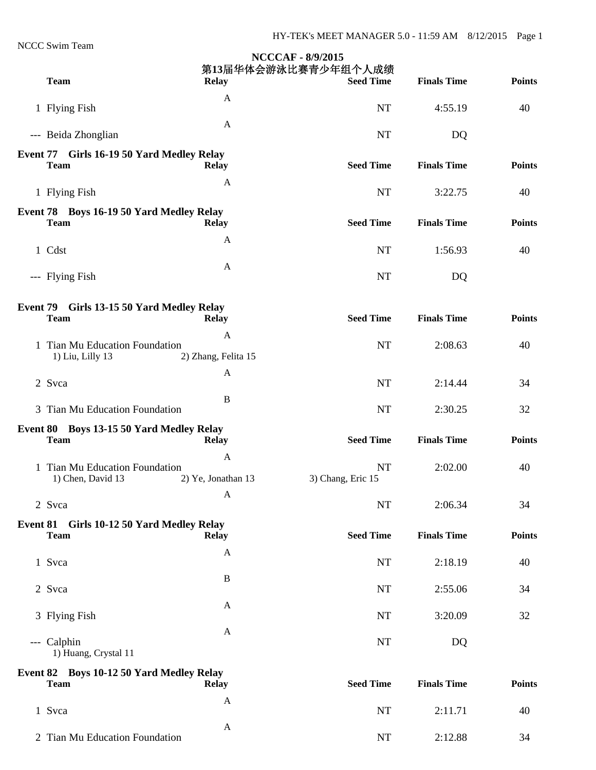NCCC Swim Team

|                                                          |                          | <b>NCCCAF - 8/9/2015</b><br>第13届华体会游泳比赛青少年组个人成绩 |                    |               |
|----------------------------------------------------------|--------------------------|-------------------------------------------------|--------------------|---------------|
| <b>Team</b>                                              | <b>Relay</b>             | <b>Seed Time</b>                                | <b>Finals Time</b> | <b>Points</b> |
| 1 Flying Fish                                            | $\mathbf{A}$             | <b>NT</b>                                       | 4:55.19            | 40            |
| --- Beida Zhonglian                                      | A                        | <b>NT</b>                                       | DQ                 |               |
| Event 77 Girls 16-19 50 Yard Medley Relay<br><b>Team</b> | <b>Relay</b>             | <b>Seed Time</b>                                | <b>Finals Time</b> | <b>Points</b> |
| 1 Flying Fish                                            | A                        | <b>NT</b>                                       | 3:22.75            | 40            |
| Event 78 Boys 16-19 50 Yard Medley Relay<br><b>Team</b>  | <b>Relay</b>             | <b>Seed Time</b>                                | <b>Finals Time</b> | <b>Points</b> |
| 1 Cdst                                                   | A                        | <b>NT</b>                                       | 1:56.93            | 40            |
| --- Flying Fish                                          | A                        | <b>NT</b>                                       | DQ                 |               |
| Event 79 Girls 13-15 50 Yard Medley Relay<br><b>Team</b> | <b>Relay</b>             | <b>Seed Time</b>                                | <b>Finals Time</b> | <b>Points</b> |
| 1 Tian Mu Education Foundation<br>1) Liu, Lilly 13       | A<br>2) Zhang, Felita 15 | <b>NT</b>                                       | 2:08.63            | 40            |
| 2 Svca                                                   | A                        | <b>NT</b>                                       | 2:14.44            | 34            |
| 3 Tian Mu Education Foundation                           | B                        | <b>NT</b>                                       | 2:30.25            | 32            |
| Event 80 Boys 13-15 50 Yard Medley Relay<br><b>Team</b>  | <b>Relay</b>             | <b>Seed Time</b>                                | <b>Finals Time</b> | <b>Points</b> |
| 1 Tian Mu Education Foundation<br>1) Chen, David 13      | A<br>2) Ye, Jonathan 13  | <b>NT</b><br>3) Chang, Eric 15                  | 2:02.00            | 40            |
| 2 Svca                                                   | $\mathbf{A}$             | <b>NT</b>                                       | 2:06.34            | 34            |
| Event 81 Girls 10-12 50 Yard Medley Relay<br><b>Team</b> | <b>Relay</b>             | <b>Seed Time</b>                                | <b>Finals Time</b> | <b>Points</b> |
| 1 Svca                                                   | $\mathbf{A}$             | <b>NT</b>                                       | 2:18.19            | 40            |
| 2 Svca                                                   | $\bf{B}$                 | <b>NT</b>                                       | 2:55.06            | 34            |
| 3 Flying Fish                                            | A                        | NT                                              | 3:20.09            | 32            |
| --- Calphin<br>1) Huang, Crystal 11                      | A                        | NT                                              | DQ                 |               |
| Event 82 Boys 10-12 50 Yard Medley Relay<br><b>Team</b>  | <b>Relay</b>             | <b>Seed Time</b>                                | <b>Finals Time</b> | <b>Points</b> |
| 1 Svca                                                   | A                        | <b>NT</b>                                       | 2:11.71            | 40            |
| 2 Tian Mu Education Foundation                           | $\mathbf{A}$             | $\rm{NT}$                                       | 2:12.88            | 34            |